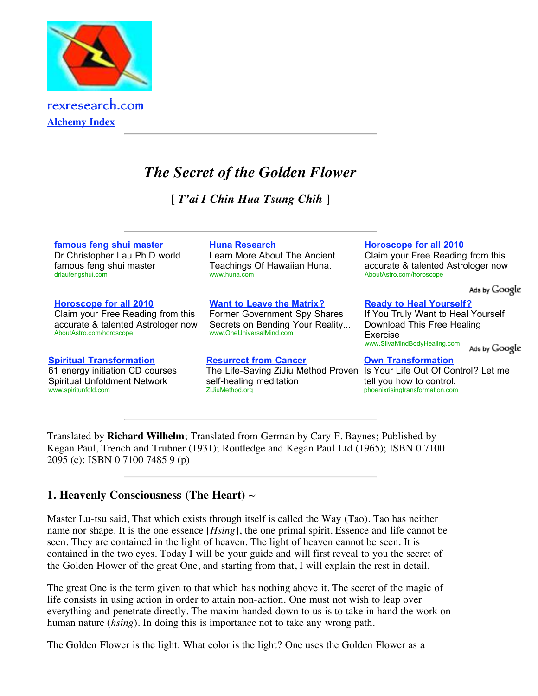

rexresearch.com **Alchemy Index**

# *The Secret of the Golden Flower*

**[** *T'ai I Chin Hua Tsung Chih* **]**

#### **famous feng shui master**

Dr Christopher Lau Ph.D world famous feng shui master drlaufengshui.com

#### **Horoscope for all 2010**

Claim your Free Reading from this accurate & talented Astrologer now AboutAstro.com/horoscope

#### **Spiritual Transformation**

61 energy initiation CD courses Spiritual Unfoldment Network www.spiritunfold.com

**Huna Research** Learn More About The Ancient Teachings Of Hawaiian Huna. www.huna.com

#### **Want to Leave the Matrix?** Former Government Spy Shares Secrets on Bending Your Reality... www.OneUniversalMind.com

#### **Resurrect from Cancer** The Life-Saving ZiJiu Method Proven Is Your Life Out Of Control? Let me self-healing meditation ZiJiuMethod.org

#### **Horoscope for all 2010**

Claim your Free Reading from this accurate & talented Astrologer now AboutAstro.com/horoscope

Ads by Google

#### **Ready to Heal Yourself?** If You Truly Want to Heal Yourself Download This Free Healing

Exercise www.SilvaMindBodyHealing.com

Ads by Google

#### **Own Transformation**

tell you how to control. phoenixrisingtransformation.com

Translated by **Richard Wilhelm**; Translated from German by Cary F. Baynes; Published by Kegan Paul, Trench and Trubner (1931); Routledge and Kegan Paul Ltd (1965); ISBN 0 7100 2095 (c); ISBN 0 7100 7485 9 (p)

## **1. Heavenly Consciousness (The Heart) ~**

Master Lu-tsu said, That which exists through itself is called the Way (Tao). Tao has neither name nor shape. It is the one essence [*Hsing*], the one primal spirit. Essence and life cannot be seen. They are contained in the light of heaven. The light of heaven cannot be seen. It is contained in the two eyes. Today I will be your guide and will first reveal to you the secret of the Golden Flower of the great One, and starting from that, I will explain the rest in detail.

The great One is the term given to that which has nothing above it. The secret of the magic of life consists in using action in order to attain non-action. One must not wish to leap over everything and penetrate directly. The maxim handed down to us is to take in hand the work on human nature (*hsing*). In doing this is importance not to take any wrong path.

The Golden Flower is the light. What color is the light? One uses the Golden Flower as a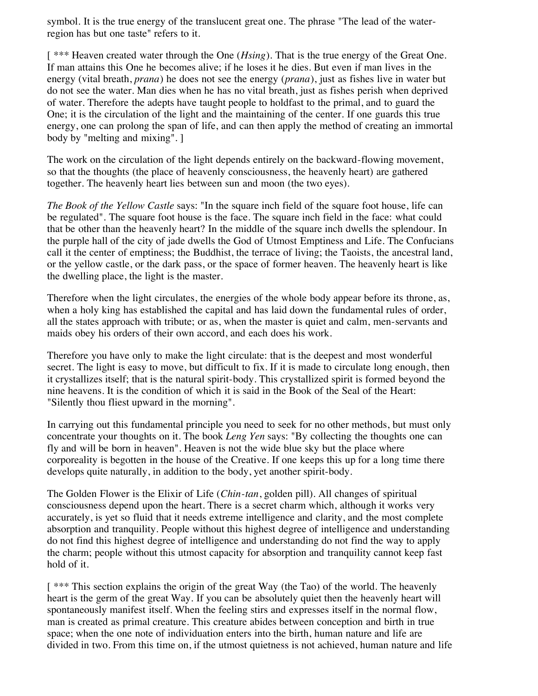symbol. It is the true energy of the translucent great one. The phrase "The lead of the waterregion has but one taste" refers to it.

[ \*\*\* Heaven created water through the One (*Hsing*). That is the true energy of the Great One. If man attains this One he becomes alive; if he loses it he dies. But even if man lives in the energy (vital breath, *prana*) he does not see the energy (*prana*), just as fishes live in water but do not see the water. Man dies when he has no vital breath, just as fishes perish when deprived of water. Therefore the adepts have taught people to holdfast to the primal, and to guard the One; it is the circulation of the light and the maintaining of the center. If one guards this true energy, one can prolong the span of life, and can then apply the method of creating an immortal body by "melting and mixing". ]

The work on the circulation of the light depends entirely on the backward-flowing movement, so that the thoughts (the place of heavenly consciousness, the heavenly heart) are gathered together. The heavenly heart lies between sun and moon (the two eyes).

*The Book of the Yellow Castle* says: "In the square inch field of the square foot house, life can be regulated". The square foot house is the face. The square inch field in the face: what could that be other than the heavenly heart? In the middle of the square inch dwells the splendour. In the purple hall of the city of jade dwells the God of Utmost Emptiness and Life. The Confucians call it the center of emptiness; the Buddhist, the terrace of living; the Taoists, the ancestral land, or the yellow castle, or the dark pass, or the space of former heaven. The heavenly heart is like the dwelling place, the light is the master.

Therefore when the light circulates, the energies of the whole body appear before its throne, as, when a holy king has established the capital and has laid down the fundamental rules of order, all the states approach with tribute; or as, when the master is quiet and calm, men-servants and maids obey his orders of their own accord, and each does his work.

Therefore you have only to make the light circulate: that is the deepest and most wonderful secret. The light is easy to move, but difficult to fix. If it is made to circulate long enough, then it crystallizes itself; that is the natural spirit-body. This crystallized spirit is formed beyond the nine heavens. It is the condition of which it is said in the Book of the Seal of the Heart: "Silently thou fliest upward in the morning".

In carrying out this fundamental principle you need to seek for no other methods, but must only concentrate your thoughts on it. The book *Leng Yen* says: "By collecting the thoughts one can fly and will be born in heaven". Heaven is not the wide blue sky but the place where corporeality is begotten in the house of the Creative. If one keeps this up for a long time there develops quite naturally, in addition to the body, yet another spirit-body.

The Golden Flower is the Elixir of Life (*Chin-tan*, golden pill). All changes of spiritual consciousness depend upon the heart. There is a secret charm which, although it works very accurately, is yet so fluid that it needs extreme intelligence and clarity, and the most complete absorption and tranquility. People without this highest degree of intelligence and understanding do not find this highest degree of intelligence and understanding do not find the way to apply the charm; people without this utmost capacity for absorption and tranquility cannot keep fast hold of it.

[ \*\*\* This section explains the origin of the great Way (the Tao) of the world. The heavenly heart is the germ of the great Way. If you can be absolutely quiet then the heavenly heart will spontaneously manifest itself. When the feeling stirs and expresses itself in the normal flow, man is created as primal creature. This creature abides between conception and birth in true space; when the one note of individuation enters into the birth, human nature and life are divided in two. From this time on, if the utmost quietness is not achieved, human nature and life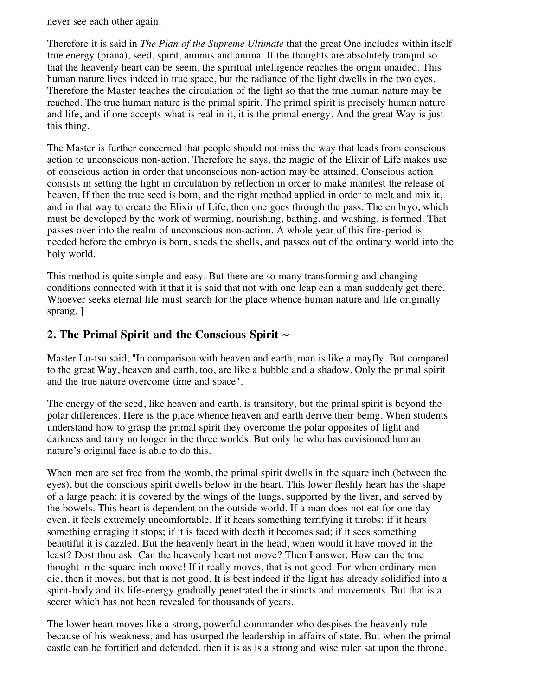never see each other again.

Therefore it is said in *The Plan of the Supreme Ultimate* that the great One includes within itself true energy (prana), seed, spirit, animus and anima. If the thoughts are absolutely tranquil so that the heavenly heart can be seem, the spiritual intelligence reaches the origin unaided. This human nature lives indeed in true space, but the radiance of the light dwells in the two eyes. Therefore the Master teaches the circulation of the light so that the true human nature may be reached. The true human nature is the primal spirit. The primal spirit is precisely human nature and life, and if one accepts what is real in it, it is the primal energy. And the great Way is just this thing.

The Master is further concerned that people should not miss the way that leads from conscious action to unconscious non-action. Therefore he says, the magic of the Elixir of Life makes use of conscious action in order that unconscious non-action may be attained. Conscious action consists in setting the light in circulation by reflection in order to make manifest the release of heaven, If then the true seed is born, and the right method applied in order to melt and mix it, and in that way to create the Elixir of Life, then one goes through the pass. The embryo, which must be developed by the work of warming, nourishing, bathing, and washing, is formed. That passes over into the realm of unconscious non-action. A whole year of this fire-period is needed before the embryo is born, sheds the shells, and passes out of the ordinary world into the holy world.

This method is quite simple and easy. But there are so many transforming and changing conditions connected with it that it is said that not with one leap can a man suddenly get there. Whoever seeks eternal life must search for the place whence human nature and life originally sprang. ]

## **2. The Primal Spirit and the Conscious Spirit ~**

Master Lu-tsu said, "In comparison with heaven and earth, man is like a mayfly. But compared to the great Way, heaven and earth, too, are like a bubble and a shadow. Only the primal spirit and the true nature overcome time and space".

The energy of the seed, like heaven and earth, is transitory, but the primal spirit is beyond the polar differences. Here is the place whence heaven and earth derive their being. When students understand how to grasp the primal spirit they overcome the polar opposites of light and darkness and tarry no longer in the three worlds. But only he who has envisioned human nature's original face is able to do this.

When men are set free from the womb, the primal spirit dwells in the square inch (between the eyes), but the conscious spirit dwells below in the heart. This lower fleshly heart has the shape of a large peach: it is covered by the wings of the lungs, supported by the liver, and served by the bowels. This heart is dependent on the outside world. If a man does not eat for one day even, it feels extremely uncomfortable. If it hears something terrifying it throbs; if it hears something enraging it stops; if it is faced with death it becomes sad; if it sees something beautiful it is dazzled. But the heavenly heart in the head, when would it have moved in the least? Dost thou ask: Can the heavenly heart not move? Then I answer: How can the true thought in the square inch move! If it really moves, that is not good. For when ordinary men die, then it moves, but that is not good. It is best indeed if the light has already solidified into a spirit-body and its life-energy gradually penetrated the instincts and movements. But that is a secret which has not been revealed for thousands of years.

The lower heart moves like a strong, powerful commander who despises the heavenly rule because of his weakness, and has usurped the leadership in affairs of state. But when the primal castle can be fortified and defended, then it is as is a strong and wise ruler sat upon the throne.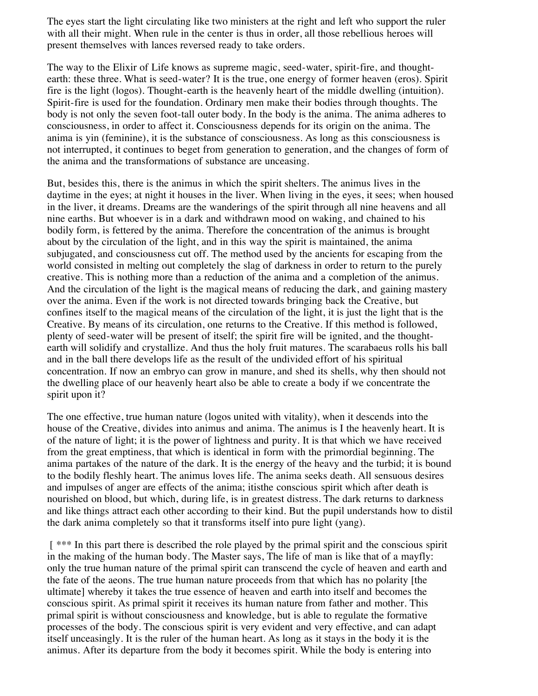The eyes start the light circulating like two ministers at the right and left who support the ruler with all their might. When rule in the center is thus in order, all those rebellious heroes will present themselves with lances reversed ready to take orders.

The way to the Elixir of Life knows as supreme magic, seed-water, spirit-fire, and thoughtearth: these three. What is seed-water? It is the true, one energy of former heaven (eros). Spirit fire is the light (logos). Thought-earth is the heavenly heart of the middle dwelling (intuition). Spirit-fire is used for the foundation. Ordinary men make their bodies through thoughts. The body is not only the seven foot-tall outer body. In the body is the anima. The anima adheres to consciousness, in order to affect it. Consciousness depends for its origin on the anima. The anima is yin (feminine), it is the substance of consciousness. As long as this consciousness is not interrupted, it continues to beget from generation to generation, and the changes of form of the anima and the transformations of substance are unceasing.

But, besides this, there is the animus in which the spirit shelters. The animus lives in the daytime in the eyes; at night it houses in the liver. When living in the eyes, it sees; when housed in the liver, it dreams. Dreams are the wanderings of the spirit through all nine heavens and all nine earths. But whoever is in a dark and withdrawn mood on waking, and chained to his bodily form, is fettered by the anima. Therefore the concentration of the animus is brought about by the circulation of the light, and in this way the spirit is maintained, the anima subjugated, and consciousness cut off. The method used by the ancients for escaping from the world consisted in melting out completely the slag of darkness in order to return to the purely creative. This is nothing more than a reduction of the anima and a completion of the animus. And the circulation of the light is the magical means of reducing the dark, and gaining mastery over the anima. Even if the work is not directed towards bringing back the Creative, but confines itself to the magical means of the circulation of the light, it is just the light that is the Creative. By means of its circulation, one returns to the Creative. If this method is followed, plenty of seed-water will be present of itself; the spirit fire will be ignited, and the thoughtearth will solidify and crystallize. And thus the holy fruit matures. The scarabaeus rolls his ball and in the ball there develops life as the result of the undivided effort of his spiritual concentration. If now an embryo can grow in manure, and shed its shells, why then should not the dwelling place of our heavenly heart also be able to create a body if we concentrate the spirit upon it?

The one effective, true human nature (logos united with vitality), when it descends into the house of the Creative, divides into animus and anima. The animus is I the heavenly heart. It is of the nature of light; it is the power of lightness and purity. It is that which we have received from the great emptiness, that which is identical in form with the primordial beginning. The anima partakes of the nature of the dark. It is the energy of the heavy and the turbid; it is bound to the bodily fleshly heart. The animus loves life. The anima seeks death. All sensuous desires and impulses of anger are effects of the anima; itisthe conscious spirit which after death is nourished on blood, but which, during life, is in greatest distress. The dark returns to darkness and like things attract each other according to their kind. But the pupil understands how to distil the dark anima completely so that it transforms itself into pure light (yang).

 [ \*\*\* In this part there is described the role played by the primal spirit and the conscious spirit in the making of the human body. The Master says, The life of man is like that of a mayfly: only the true human nature of the primal spirit can transcend the cycle of heaven and earth and the fate of the aeons. The true human nature proceeds from that which has no polarity [the ultimate] whereby it takes the true essence of heaven and earth into itself and becomes the conscious spirit. As primal spirit it receives its human nature from father and mother. This primal spirit is without consciousness and knowledge, but is able to regulate the formative processes of the body. The conscious spirit is very evident and very effective, and can adapt itself unceasingly. It is the ruler of the human heart. As long as it stays in the body it is the animus. After its departure from the body it becomes spirit. While the body is entering into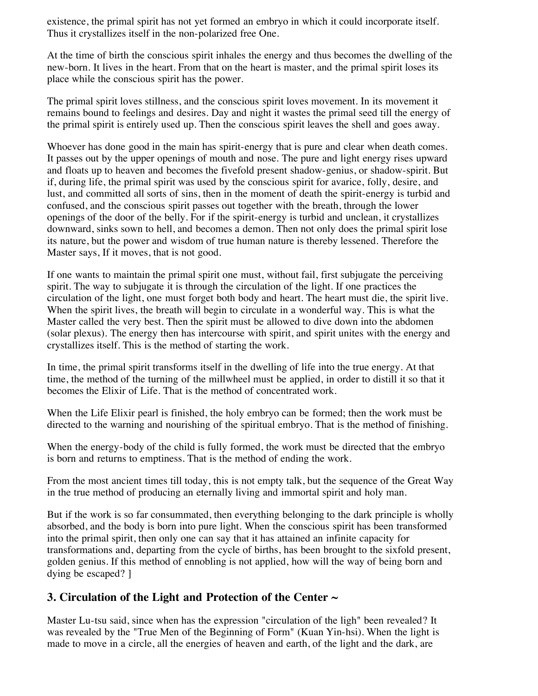existence, the primal spirit has not yet formed an embryo in which it could incorporate itself. Thus it crystallizes itself in the non-polarized free One.

At the time of birth the conscious spirit inhales the energy and thus becomes the dwelling of the new-born. It lives in the heart. From that on the heart is master, and the primal spirit loses its place while the conscious spirit has the power.

The primal spirit loves stillness, and the conscious spirit loves movement. In its movement it remains bound to feelings and desires. Day and night it wastes the primal seed till the energy of the primal spirit is entirely used up. Then the conscious spirit leaves the shell and goes away.

Whoever has done good in the main has spirit-energy that is pure and clear when death comes. It passes out by the upper openings of mouth and nose. The pure and light energy rises upward and floats up to heaven and becomes the fivefold present shadow-genius, or shadow-spirit. But if, during life, the primal spirit was used by the conscious spirit for avarice, folly, desire, and lust, and committed all sorts of sins, then in the moment of death the spirit-energy is turbid and confused, and the conscious spirit passes out together with the breath, through the lower openings of the door of the belly. For if the spirit-energy is turbid and unclean, it crystallizes downward, sinks sown to hell, and becomes a demon. Then not only does the primal spirit lose its nature, but the power and wisdom of true human nature is thereby lessened. Therefore the Master says, If it moves, that is not good.

If one wants to maintain the primal spirit one must, without fail, first subjugate the perceiving spirit. The way to subjugate it is through the circulation of the light. If one practices the circulation of the light, one must forget both body and heart. The heart must die, the spirit live. When the spirit lives, the breath will begin to circulate in a wonderful way. This is what the Master called the very best. Then the spirit must be allowed to dive down into the abdomen (solar plexus). The energy then has intercourse with spirit, and spirit unites with the energy and crystallizes itself. This is the method of starting the work.

In time, the primal spirit transforms itself in the dwelling of life into the true energy. At that time, the method of the turning of the millwheel must be applied, in order to distill it so that it becomes the Elixir of Life. That is the method of concentrated work.

When the Life Elixir pearl is finished, the holy embryo can be formed; then the work must be directed to the warning and nourishing of the spiritual embryo. That is the method of finishing.

When the energy-body of the child is fully formed, the work must be directed that the embryo is born and returns to emptiness. That is the method of ending the work.

From the most ancient times till today, this is not empty talk, but the sequence of the Great Way in the true method of producing an eternally living and immortal spirit and holy man.

But if the work is so far consummated, then everything belonging to the dark principle is wholly absorbed, and the body is born into pure light. When the conscious spirit has been transformed into the primal spirit, then only one can say that it has attained an infinite capacity for transformations and, departing from the cycle of births, has been brought to the sixfold present, golden genius. If this method of ennobling is not applied, how will the way of being born and dying be escaped? ]

## **3. Circulation of the Light and Protection of the Center ~**

Master Lu-tsu said, since when has the expression "circulation of the ligh" been revealed? It was revealed by the "True Men of the Beginning of Form" (Kuan Yin-hsi). When the light is made to move in a circle, all the energies of heaven and earth, of the light and the dark, are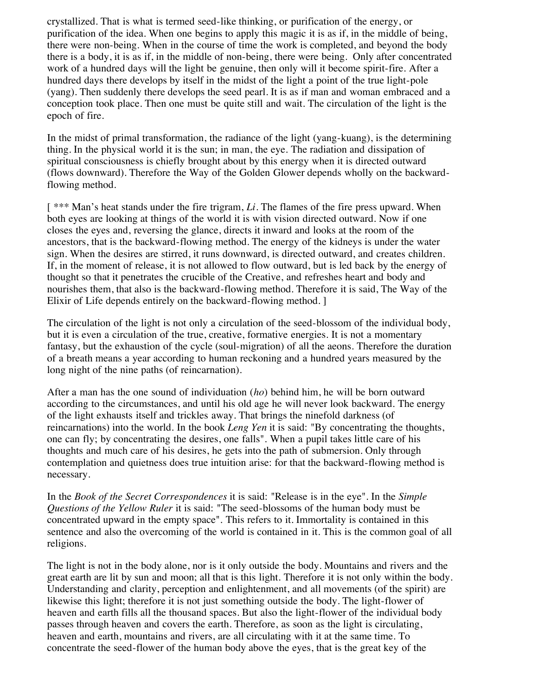crystallized. That is what is termed seed-like thinking, or purification of the energy, or purification of the idea. When one begins to apply this magic it is as if, in the middle of being, there were non-being. When in the course of time the work is completed, and beyond the body there is a body, it is as if, in the middle of non-being, there were being. Only after concentrated work of a hundred days will the light be genuine, then only will it become spirit-fire. After a hundred days there develops by itself in the midst of the light a point of the true light-pole (yang). Then suddenly there develops the seed pearl. It is as if man and woman embraced and a conception took place. Then one must be quite still and wait. The circulation of the light is the epoch of fire.

In the midst of primal transformation, the radiance of the light (yang-kuang), is the determining thing. In the physical world it is the sun; in man, the eye. The radiation and dissipation of spiritual consciousness is chiefly brought about by this energy when it is directed outward (flows downward). Therefore the Way of the Golden Glower depends wholly on the backwardflowing method.

[ \*\*\* Man's heat stands under the fire trigram, *Li*. The flames of the fire press upward. When both eyes are looking at things of the world it is with vision directed outward. Now if one closes the eyes and, reversing the glance, directs it inward and looks at the room of the ancestors, that is the backward-flowing method. The energy of the kidneys is under the water sign. When the desires are stirred, it runs downward, is directed outward, and creates children. If, in the moment of release, it is not allowed to flow outward, but is led back by the energy of thought so that it penetrates the crucible of the Creative, and refreshes heart and body and nourishes them, that also is the backward-flowing method. Therefore it is said, The Way of the Elixir of Life depends entirely on the backward-flowing method. ]

The circulation of the light is not only a circulation of the seed-blossom of the individual body, but it is even a circulation of the true, creative, formative energies. It is not a momentary fantasy, but the exhaustion of the cycle (soul-migration) of all the aeons. Therefore the duration of a breath means a year according to human reckoning and a hundred years measured by the long night of the nine paths (of reincarnation).

After a man has the one sound of individuation (*ho*) behind him, he will be born outward according to the circumstances, and until his old age he will never look backward. The energy of the light exhausts itself and trickles away. That brings the ninefold darkness (of reincarnations) into the world. In the book *Leng Yen* it is said: "By concentrating the thoughts, one can fly; by concentrating the desires, one falls". When a pupil takes little care of his thoughts and much care of his desires, he gets into the path of submersion. Only through contemplation and quietness does true intuition arise: for that the backward-flowing method is necessary.

In the *Book of the Secret Correspondences* it is said: "Release is in the eye". In the *Simple Questions of the Yellow Ruler* it is said: "The seed-blossoms of the human body must be concentrated upward in the empty space". This refers to it. Immortality is contained in this sentence and also the overcoming of the world is contained in it. This is the common goal of all religions.

The light is not in the body alone, nor is it only outside the body. Mountains and rivers and the great earth are lit by sun and moon; all that is this light. Therefore it is not only within the body. Understanding and clarity, perception and enlightenment, and all movements (of the spirit) are likewise this light; therefore it is not just something outside the body. The light-flower of heaven and earth fills all the thousand spaces. But also the light-flower of the individual body passes through heaven and covers the earth. Therefore, as soon as the light is circulating, heaven and earth, mountains and rivers, are all circulating with it at the same time. To concentrate the seed-flower of the human body above the eyes, that is the great key of the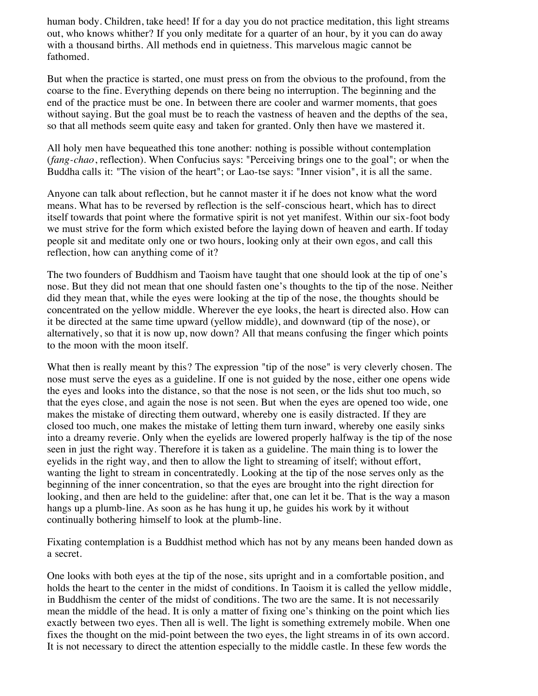human body. Children, take heed! If for a day you do not practice meditation, this light streams out, who knows whither? If you only meditate for a quarter of an hour, by it you can do away with a thousand births. All methods end in quietness. This marvelous magic cannot be fathomed.

But when the practice is started, one must press on from the obvious to the profound, from the coarse to the fine. Everything depends on there being no interruption. The beginning and the end of the practice must be one. In between there are cooler and warmer moments, that goes without saying. But the goal must be to reach the vastness of heaven and the depths of the sea, so that all methods seem quite easy and taken for granted. Only then have we mastered it.

All holy men have bequeathed this tone another: nothing is possible without contemplation (*fang-chao*, reflection). When Confucius says: "Perceiving brings one to the goal"; or when the Buddha calls it: "The vision of the heart"; or Lao-tse says: "Inner vision", it is all the same.

Anyone can talk about reflection, but he cannot master it if he does not know what the word means. What has to be reversed by reflection is the self-conscious heart, which has to direct itself towards that point where the formative spirit is not yet manifest. Within our six-foot body we must strive for the form which existed before the laying down of heaven and earth. If today people sit and meditate only one or two hours, looking only at their own egos, and call this reflection, how can anything come of it?

The two founders of Buddhism and Taoism have taught that one should look at the tip of one's nose. But they did not mean that one should fasten one's thoughts to the tip of the nose. Neither did they mean that, while the eyes were looking at the tip of the nose, the thoughts should be concentrated on the yellow middle. Wherever the eye looks, the heart is directed also. How can it be directed at the same time upward (yellow middle), and downward (tip of the nose), or alternatively, so that it is now up, now down? All that means confusing the finger which points to the moon with the moon itself.

What then is really meant by this? The expression "tip of the nose" is very cleverly chosen. The nose must serve the eyes as a guideline. If one is not guided by the nose, either one opens wide the eyes and looks into the distance, so that the nose is not seen, or the lids shut too much, so that the eyes close, and again the nose is not seen. But when the eyes are opened too wide, one makes the mistake of directing them outward, whereby one is easily distracted. If they are closed too much, one makes the mistake of letting them turn inward, whereby one easily sinks into a dreamy reverie. Only when the eyelids are lowered properly halfway is the tip of the nose seen in just the right way. Therefore it is taken as a guideline. The main thing is to lower the eyelids in the right way, and then to allow the light to streaming of itself; without effort, wanting the light to stream in concentratedly. Looking at the tip of the nose serves only as the beginning of the inner concentration, so that the eyes are brought into the right direction for looking, and then are held to the guideline: after that, one can let it be. That is the way a mason hangs up a plumb-line. As soon as he has hung it up, he guides his work by it without continually bothering himself to look at the plumb-line.

Fixating contemplation is a Buddhist method which has not by any means been handed down as a secret.

One looks with both eyes at the tip of the nose, sits upright and in a comfortable position, and holds the heart to the center in the midst of conditions. In Taoism it is called the yellow middle, in Buddhism the center of the midst of conditions. The two are the same. It is not necessarily mean the middle of the head. It is only a matter of fixing one's thinking on the point which lies exactly between two eyes. Then all is well. The light is something extremely mobile. When one fixes the thought on the mid-point between the two eyes, the light streams in of its own accord. It is not necessary to direct the attention especially to the middle castle. In these few words the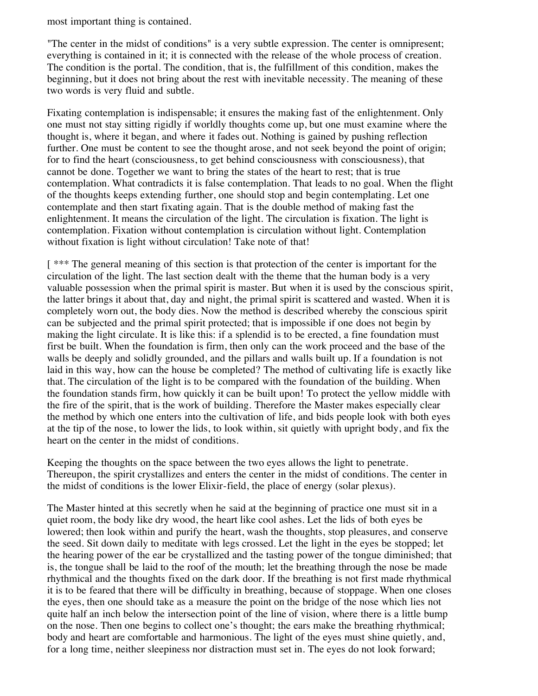most important thing is contained.

"The center in the midst of conditions" is a very subtle expression. The center is omnipresent; everything is contained in it; it is connected with the release of the whole process of creation. The condition is the portal. The condition, that is, the fulfillment of this condition, makes the beginning, but it does not bring about the rest with inevitable necessity. The meaning of these two words is very fluid and subtle.

Fixating contemplation is indispensable; it ensures the making fast of the enlightenment. Only one must not stay sitting rigidly if worldly thoughts come up, but one must examine where the thought is, where it began, and where it fades out. Nothing is gained by pushing reflection further. One must be content to see the thought arose, and not seek beyond the point of origin; for to find the heart (consciousness, to get behind consciousness with consciousness), that cannot be done. Together we want to bring the states of the heart to rest; that is true contemplation. What contradicts it is false contemplation. That leads to no goal. When the flight of the thoughts keeps extending further, one should stop and begin contemplating. Let one contemplate and then start fixating again. That is the double method of making fast the enlightenment. It means the circulation of the light. The circulation is fixation. The light is contemplation. Fixation without contemplation is circulation without light. Contemplation without fixation is light without circulation! Take note of that!

[ \*\*\* The general meaning of this section is that protection of the center is important for the circulation of the light. The last section dealt with the theme that the human body is a very valuable possession when the primal spirit is master. But when it is used by the conscious spirit, the latter brings it about that, day and night, the primal spirit is scattered and wasted. When it is completely worn out, the body dies. Now the method is described whereby the conscious spirit can be subjected and the primal spirit protected; that is impossible if one does not begin by making the light circulate. It is like this: if a splendid is to be erected, a fine foundation must first be built. When the foundation is firm, then only can the work proceed and the base of the walls be deeply and solidly grounded, and the pillars and walls built up. If a foundation is not laid in this way, how can the house be completed? The method of cultivating life is exactly like that. The circulation of the light is to be compared with the foundation of the building. When the foundation stands firm, how quickly it can be built upon! To protect the yellow middle with the fire of the spirit, that is the work of building. Therefore the Master makes especially clear the method by which one enters into the cultivation of life, and bids people look with both eyes at the tip of the nose, to lower the lids, to look within, sit quietly with upright body, and fix the heart on the center in the midst of conditions.

Keeping the thoughts on the space between the two eyes allows the light to penetrate. Thereupon, the spirit crystallizes and enters the center in the midst of conditions. The center in the midst of conditions is the lower Elixir-field, the place of energy (solar plexus).

The Master hinted at this secretly when he said at the beginning of practice one must sit in a quiet room, the body like dry wood, the heart like cool ashes. Let the lids of both eyes be lowered; then look within and purify the heart, wash the thoughts, stop pleasures, and conserve the seed. Sit down daily to meditate with legs crossed. Let the light in the eyes be stopped; let the hearing power of the ear be crystallized and the tasting power of the tongue diminished; that is, the tongue shall be laid to the roof of the mouth; let the breathing through the nose be made rhythmical and the thoughts fixed on the dark door. If the breathing is not first made rhythmical it is to be feared that there will be difficulty in breathing, because of stoppage. When one closes the eyes, then one should take as a measure the point on the bridge of the nose which lies not quite half an inch below the intersection point of the line of vision, where there is a little bump on the nose. Then one begins to collect one's thought; the ears make the breathing rhythmical; body and heart are comfortable and harmonious. The light of the eyes must shine quietly, and, for a long time, neither sleepiness nor distraction must set in. The eyes do not look forward;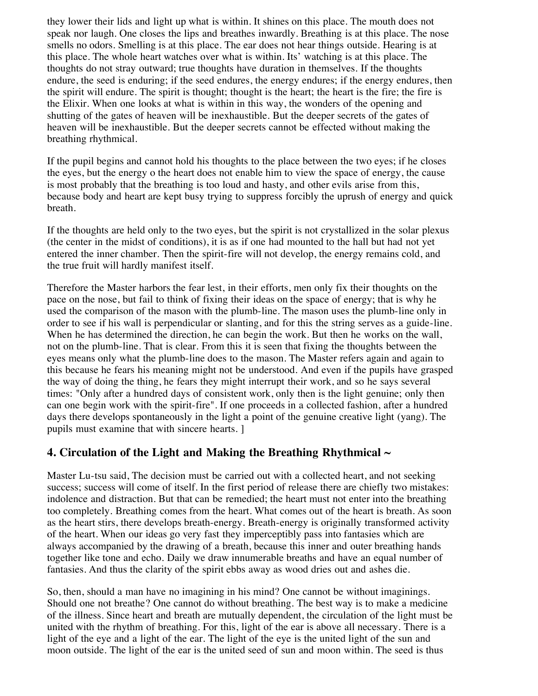they lower their lids and light up what is within. It shines on this place. The mouth does not speak nor laugh. One closes the lips and breathes inwardly. Breathing is at this place. The nose smells no odors. Smelling is at this place. The ear does not hear things outside. Hearing is at this place. The whole heart watches over what is within. Its' watching is at this place. The thoughts do not stray outward; true thoughts have duration in themselves. If the thoughts endure, the seed is enduring; if the seed endures, the energy endures; if the energy endures, then the spirit will endure. The spirit is thought; thought is the heart; the heart is the fire; the fire is the Elixir. When one looks at what is within in this way, the wonders of the opening and shutting of the gates of heaven will be inexhaustible. But the deeper secrets of the gates of heaven will be inexhaustible. But the deeper secrets cannot be effected without making the breathing rhythmical.

If the pupil begins and cannot hold his thoughts to the place between the two eyes; if he closes the eyes, but the energy o the heart does not enable him to view the space of energy, the cause is most probably that the breathing is too loud and hasty, and other evils arise from this, because body and heart are kept busy trying to suppress forcibly the uprush of energy and quick breath.

If the thoughts are held only to the two eyes, but the spirit is not crystallized in the solar plexus (the center in the midst of conditions), it is as if one had mounted to the hall but had not yet entered the inner chamber. Then the spirit-fire will not develop, the energy remains cold, and the true fruit will hardly manifest itself.

Therefore the Master harbors the fear lest, in their efforts, men only fix their thoughts on the pace on the nose, but fail to think of fixing their ideas on the space of energy; that is why he used the comparison of the mason with the plumb-line. The mason uses the plumb-line only in order to see if his wall is perpendicular or slanting, and for this the string serves as a guide-line. When he has determined the direction, he can begin the work. But then he works on the wall, not on the plumb-line. That is clear. From this it is seen that fixing the thoughts between the eyes means only what the plumb-line does to the mason. The Master refers again and again to this because he fears his meaning might not be understood. And even if the pupils have grasped the way of doing the thing, he fears they might interrupt their work, and so he says several times: "Only after a hundred days of consistent work, only then is the light genuine; only then can one begin work with the spirit-fire". If one proceeds in a collected fashion, after a hundred days there develops spontaneously in the light a point of the genuine creative light (yang). The pupils must examine that with sincere hearts. ]

## **4. Circulation of the Light and Making the Breathing Rhythmical ~**

Master Lu-tsu said, The decision must be carried out with a collected heart, and not seeking success; success will come of itself. In the first period of release there are chiefly two mistakes: indolence and distraction. But that can be remedied; the heart must not enter into the breathing too completely. Breathing comes from the heart. What comes out of the heart is breath. As soon as the heart stirs, there develops breath-energy. Breath-energy is originally transformed activity of the heart. When our ideas go very fast they imperceptibly pass into fantasies which are always accompanied by the drawing of a breath, because this inner and outer breathing hands together like tone and echo. Daily we draw innumerable breaths and have an equal number of fantasies. And thus the clarity of the spirit ebbs away as wood dries out and ashes die.

So, then, should a man have no imagining in his mind? One cannot be without imaginings. Should one not breathe? One cannot do without breathing. The best way is to make a medicine of the illness. Since heart and breath are mutually dependent, the circulation of the light must be united with the rhythm of breathing. For this, light of the ear is above all necessary. There is a light of the eye and a light of the ear. The light of the eye is the united light of the sun and moon outside. The light of the ear is the united seed of sun and moon within. The seed is thus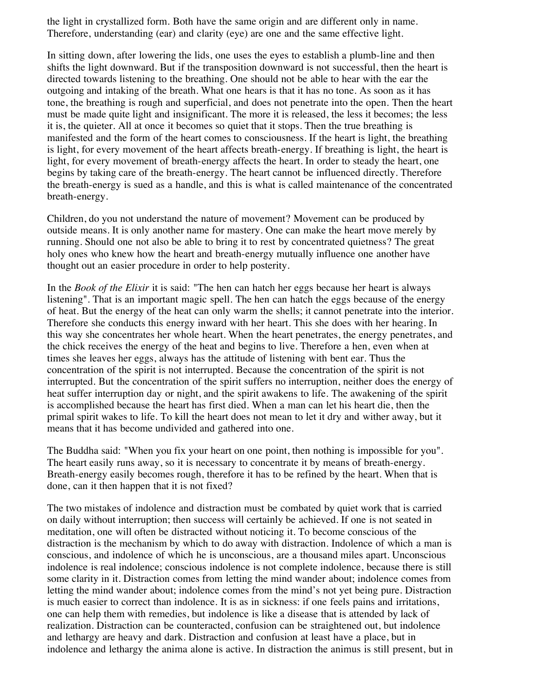the light in crystallized form. Both have the same origin and are different only in name. Therefore, understanding (ear) and clarity (eye) are one and the same effective light.

In sitting down, after lowering the lids, one uses the eyes to establish a plumb-line and then shifts the light downward. But if the transposition downward is not successful, then the heart is directed towards listening to the breathing. One should not be able to hear with the ear the outgoing and intaking of the breath. What one hears is that it has no tone. As soon as it has tone, the breathing is rough and superficial, and does not penetrate into the open. Then the heart must be made quite light and insignificant. The more it is released, the less it becomes; the less it is, the quieter. All at once it becomes so quiet that it stops. Then the true breathing is manifested and the form of the heart comes to consciousness. If the heart is light, the breathing is light, for every movement of the heart affects breath-energy. If breathing is light, the heart is light, for every movement of breath-energy affects the heart. In order to steady the heart, one begins by taking care of the breath-energy. The heart cannot be influenced directly. Therefore the breath-energy is sued as a handle, and this is what is called maintenance of the concentrated breath-energy.

Children, do you not understand the nature of movement? Movement can be produced by outside means. It is only another name for mastery. One can make the heart move merely by running. Should one not also be able to bring it to rest by concentrated quietness? The great holy ones who knew how the heart and breath-energy mutually influence one another have thought out an easier procedure in order to help posterity.

In the *Book of the Elixir* it is said: "The hen can hatch her eggs because her heart is always listening". That is an important magic spell. The hen can hatch the eggs because of the energy of heat. But the energy of the heat can only warm the shells; it cannot penetrate into the interior. Therefore she conducts this energy inward with her heart. This she does with her hearing. In this way she concentrates her whole heart. When the heart penetrates, the energy penetrates, and the chick receives the energy of the heat and begins to live. Therefore a hen, even when at times she leaves her eggs, always has the attitude of listening with bent ear. Thus the concentration of the spirit is not interrupted. Because the concentration of the spirit is not interrupted. But the concentration of the spirit suffers no interruption, neither does the energy of heat suffer interruption day or night, and the spirit awakens to life. The awakening of the spirit is accomplished because the heart has first died. When a man can let his heart die, then the primal spirit wakes to life. To kill the heart does not mean to let it dry and wither away, but it means that it has become undivided and gathered into one.

The Buddha said: "When you fix your heart on one point, then nothing is impossible for you". The heart easily runs away, so it is necessary to concentrate it by means of breath-energy. Breath-energy easily becomes rough, therefore it has to be refined by the heart. When that is done, can it then happen that it is not fixed?

The two mistakes of indolence and distraction must be combated by quiet work that is carried on daily without interruption; then success will certainly be achieved. If one is not seated in meditation, one will often be distracted without noticing it. To become conscious of the distraction is the mechanism by which to do away with distraction. Indolence of which a man is conscious, and indolence of which he is unconscious, are a thousand miles apart. Unconscious indolence is real indolence; conscious indolence is not complete indolence, because there is still some clarity in it. Distraction comes from letting the mind wander about; indolence comes from letting the mind wander about; indolence comes from the mind's not yet being pure. Distraction is much easier to correct than indolence. It is as in sickness: if one feels pains and irritations, one can help them with remedies, but indolence is like a disease that is attended by lack of realization. Distraction can be counteracted, confusion can be straightened out, but indolence and lethargy are heavy and dark. Distraction and confusion at least have a place, but in indolence and lethargy the anima alone is active. In distraction the animus is still present, but in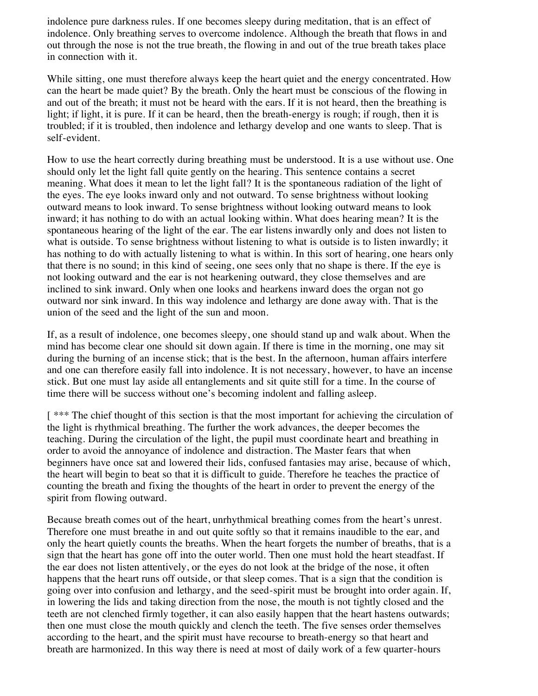indolence pure darkness rules. If one becomes sleepy during meditation, that is an effect of indolence. Only breathing serves to overcome indolence. Although the breath that flows in and out through the nose is not the true breath, the flowing in and out of the true breath takes place in connection with it.

While sitting, one must therefore always keep the heart quiet and the energy concentrated. How can the heart be made quiet? By the breath. Only the heart must be conscious of the flowing in and out of the breath; it must not be heard with the ears. If it is not heard, then the breathing is light; if light, it is pure. If it can be heard, then the breath-energy is rough; if rough, then it is troubled; if it is troubled, then indolence and lethargy develop and one wants to sleep. That is self-evident.

How to use the heart correctly during breathing must be understood. It is a use without use. One should only let the light fall quite gently on the hearing. This sentence contains a secret meaning. What does it mean to let the light fall? It is the spontaneous radiation of the light of the eyes. The eye looks inward only and not outward. To sense brightness without looking outward means to look inward. To sense brightness without looking outward means to look inward; it has nothing to do with an actual looking within. What does hearing mean? It is the spontaneous hearing of the light of the ear. The ear listens inwardly only and does not listen to what is outside. To sense brightness without listening to what is outside is to listen inwardly; it has nothing to do with actually listening to what is within. In this sort of hearing, one hears only that there is no sound; in this kind of seeing, one sees only that no shape is there. If the eye is not looking outward and the ear is not hearkening outward, they close themselves and are inclined to sink inward. Only when one looks and hearkens inward does the organ not go outward nor sink inward. In this way indolence and lethargy are done away with. That is the union of the seed and the light of the sun and moon.

If, as a result of indolence, one becomes sleepy, one should stand up and walk about. When the mind has become clear one should sit down again. If there is time in the morning, one may sit during the burning of an incense stick; that is the best. In the afternoon, human affairs interfere and one can therefore easily fall into indolence. It is not necessary, however, to have an incense stick. But one must lay aside all entanglements and sit quite still for a time. In the course of time there will be success without one's becoming indolent and falling asleep.

[ $***$ The chief thought of this section is that the most important for achieving the circulation of the light is rhythmical breathing. The further the work advances, the deeper becomes the teaching. During the circulation of the light, the pupil must coordinate heart and breathing in order to avoid the annoyance of indolence and distraction. The Master fears that when beginners have once sat and lowered their lids, confused fantasies may arise, because of which, the heart will begin to beat so that it is difficult to guide. Therefore he teaches the practice of counting the breath and fixing the thoughts of the heart in order to prevent the energy of the spirit from flowing outward.

Because breath comes out of the heart, unrhythmical breathing comes from the heart's unrest. Therefore one must breathe in and out quite softly so that it remains inaudible to the ear, and only the heart quietly counts the breaths. When the heart forgets the number of breaths, that is a sign that the heart has gone off into the outer world. Then one must hold the heart steadfast. If the ear does not listen attentively, or the eyes do not look at the bridge of the nose, it often happens that the heart runs off outside, or that sleep comes. That is a sign that the condition is going over into confusion and lethargy, and the seed-spirit must be brought into order again. If, in lowering the lids and taking direction from the nose, the mouth is not tightly closed and the teeth are not clenched firmly together, it can also easily happen that the heart hastens outwards; then one must close the mouth quickly and clench the teeth. The five senses order themselves according to the heart, and the spirit must have recourse to breath-energy so that heart and breath are harmonized. In this way there is need at most of daily work of a few quarter-hours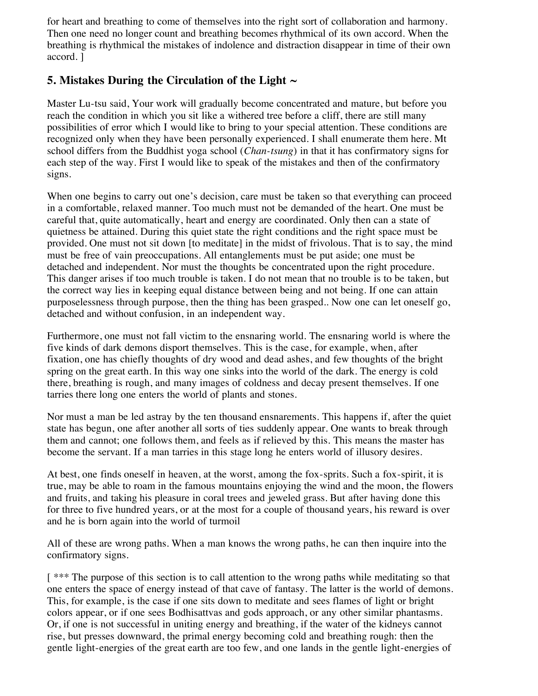for heart and breathing to come of themselves into the right sort of collaboration and harmony. Then one need no longer count and breathing becomes rhythmical of its own accord. When the breathing is rhythmical the mistakes of indolence and distraction disappear in time of their own accord. ]

# **5. Mistakes During the Circulation of the Light ~**

Master Lu-tsu said, Your work will gradually become concentrated and mature, but before you reach the condition in which you sit like a withered tree before a cliff, there are still many possibilities of error which I would like to bring to your special attention. These conditions are recognized only when they have been personally experienced. I shall enumerate them here. Mt school differs from the Buddhist yoga school (*Chan-tsung*) in that it has confirmatory signs for each step of the way. First I would like to speak of the mistakes and then of the confirmatory signs.

When one begins to carry out one's decision, care must be taken so that everything can proceed in a comfortable, relaxed manner. Too much must not be demanded of the heart. One must be careful that, quite automatically, heart and energy are coordinated. Only then can a state of quietness be attained. During this quiet state the right conditions and the right space must be provided. One must not sit down [to meditate] in the midst of frivolous. That is to say, the mind must be free of vain preoccupations. All entanglements must be put aside; one must be detached and independent. Nor must the thoughts be concentrated upon the right procedure. This danger arises if too much trouble is taken. I do not mean that no trouble is to be taken, but the correct way lies in keeping equal distance between being and not being. If one can attain purposelessness through purpose, then the thing has been grasped.. Now one can let oneself go, detached and without confusion, in an independent way.

Furthermore, one must not fall victim to the ensnaring world. The ensnaring world is where the five kinds of dark demons disport themselves. This is the case, for example, when, after fixation, one has chiefly thoughts of dry wood and dead ashes, and few thoughts of the bright spring on the great earth. In this way one sinks into the world of the dark. The energy is cold there, breathing is rough, and many images of coldness and decay present themselves. If one tarries there long one enters the world of plants and stones.

Nor must a man be led astray by the ten thousand ensnarements. This happens if, after the quiet state has begun, one after another all sorts of ties suddenly appear. One wants to break through them and cannot; one follows them, and feels as if relieved by this. This means the master has become the servant. If a man tarries in this stage long he enters world of illusory desires.

At best, one finds oneself in heaven, at the worst, among the fox-sprits. Such a fox-spirit, it is true, may be able to roam in the famous mountains enjoying the wind and the moon, the flowers and fruits, and taking his pleasure in coral trees and jeweled grass. But after having done this for three to five hundred years, or at the most for a couple of thousand years, his reward is over and he is born again into the world of turmoil

All of these are wrong paths. When a man knows the wrong paths, he can then inquire into the confirmatory signs.

[ \*\*\* The purpose of this section is to call attention to the wrong paths while meditating so that one enters the space of energy instead of that cave of fantasy. The latter is the world of demons. This, for example, is the case if one sits down to meditate and sees flames of light or bright colors appear, or if one sees Bodhisattvas and gods approach, or any other similar phantasms. Or, if one is not successful in uniting energy and breathing, if the water of the kidneys cannot rise, but presses downward, the primal energy becoming cold and breathing rough: then the gentle light-energies of the great earth are too few, and one lands in the gentle light-energies of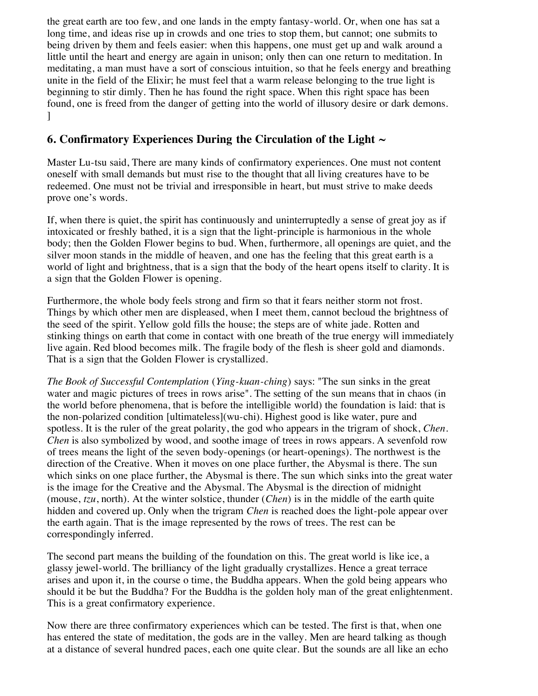the great earth are too few, and one lands in the empty fantasy-world. Or, when one has sat a long time, and ideas rise up in crowds and one tries to stop them, but cannot; one submits to being driven by them and feels easier: when this happens, one must get up and walk around a little until the heart and energy are again in unison; only then can one return to meditation. In meditating, a man must have a sort of conscious intuition, so that he feels energy and breathing unite in the field of the Elixir; he must feel that a warm release belonging to the true light is beginning to stir dimly. Then he has found the right space. When this right space has been found, one is freed from the danger of getting into the world of illusory desire or dark demons. ]

# **6. Confirmatory Experiences During the Circulation of the Light ~**

Master Lu-tsu said, There are many kinds of confirmatory experiences. One must not content oneself with small demands but must rise to the thought that all living creatures have to be redeemed. One must not be trivial and irresponsible in heart, but must strive to make deeds prove one's words.

If, when there is quiet, the spirit has continuously and uninterruptedly a sense of great joy as if intoxicated or freshly bathed, it is a sign that the light-principle is harmonious in the whole body; then the Golden Flower begins to bud. When, furthermore, all openings are quiet, and the silver moon stands in the middle of heaven, and one has the feeling that this great earth is a world of light and brightness, that is a sign that the body of the heart opens itself to clarity. It is a sign that the Golden Flower is opening.

Furthermore, the whole body feels strong and firm so that it fears neither storm not frost. Things by which other men are displeased, when I meet them, cannot becloud the brightness of the seed of the spirit. Yellow gold fills the house; the steps are of white jade. Rotten and stinking things on earth that come in contact with one breath of the true energy will immediately live again. Red blood becomes milk. The fragile body of the flesh is sheer gold and diamonds. That is a sign that the Golden Flower is crystallized.

*The Book of Successful Contemplation* (*Ying-kuan-ching*) says: "The sun sinks in the great water and magic pictures of trees in rows arise". The setting of the sun means that in chaos (in the world before phenomena, that is before the intelligible world) the foundation is laid: that is the non-polarized condition [ultimateless](wu-chi). Highest good is like water, pure and spotless. It is the ruler of the great polarity, the god who appears in the trigram of shock, *Chen*. *Chen* is also symbolized by wood, and soothe image of trees in rows appears. A sevenfold row of trees means the light of the seven body-openings (or heart-openings). The northwest is the direction of the Creative. When it moves on one place further, the Abysmal is there. The sun which sinks on one place further, the Abysmal is there. The sun which sinks into the great water is the image for the Creative and the Abysmal. The Abysmal is the direction of midnight (mouse, *tzu*, north). At the winter solstice, thunder (*Chen*) is in the middle of the earth quite hidden and covered up. Only when the trigram *Chen* is reached does the light-pole appear over the earth again. That is the image represented by the rows of trees. The rest can be correspondingly inferred.

The second part means the building of the foundation on this. The great world is like ice, a glassy jewel-world. The brilliancy of the light gradually crystallizes. Hence a great terrace arises and upon it, in the course o time, the Buddha appears. When the gold being appears who should it be but the Buddha? For the Buddha is the golden holy man of the great enlightenment. This is a great confirmatory experience.

Now there are three confirmatory experiences which can be tested. The first is that, when one has entered the state of meditation, the gods are in the valley. Men are heard talking as though at a distance of several hundred paces, each one quite clear. But the sounds are all like an echo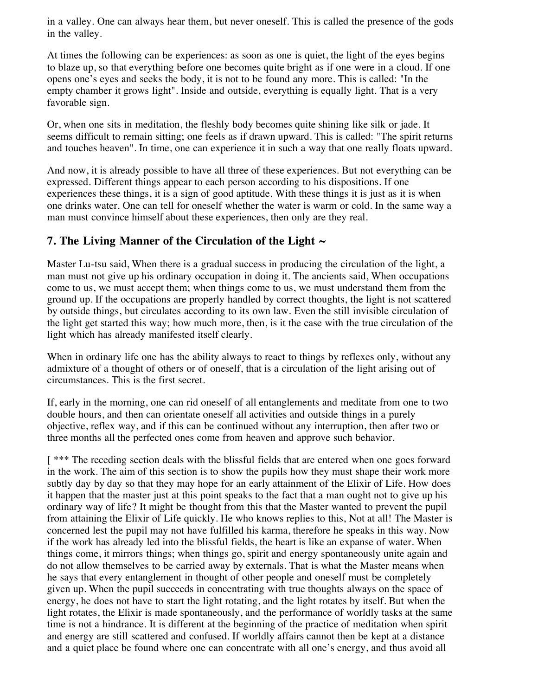in a valley. One can always hear them, but never oneself. This is called the presence of the gods in the valley.

At times the following can be experiences: as soon as one is quiet, the light of the eyes begins to blaze up, so that everything before one becomes quite bright as if one were in a cloud. If one opens one's eyes and seeks the body, it is not to be found any more. This is called: "In the empty chamber it grows light". Inside and outside, everything is equally light. That is a very favorable sign.

Or, when one sits in meditation, the fleshly body becomes quite shining like silk or jade. It seems difficult to remain sitting; one feels as if drawn upward. This is called: "The spirit returns and touches heaven". In time, one can experience it in such a way that one really floats upward.

And now, it is already possible to have all three of these experiences. But not everything can be expressed. Different things appear to each person according to his dispositions. If one experiences these things, it is a sign of good aptitude. With these things it is just as it is when one drinks water. One can tell for oneself whether the water is warm or cold. In the same way a man must convince himself about these experiences, then only are they real.

# **7. The Living Manner of the Circulation of the Light ~**

Master Lu-tsu said, When there is a gradual success in producing the circulation of the light, a man must not give up his ordinary occupation in doing it. The ancients said, When occupations come to us, we must accept them; when things come to us, we must understand them from the ground up. If the occupations are properly handled by correct thoughts, the light is not scattered by outside things, but circulates according to its own law. Even the still invisible circulation of the light get started this way; how much more, then, is it the case with the true circulation of the light which has already manifested itself clearly.

When in ordinary life one has the ability always to react to things by reflexes only, without any admixture of a thought of others or of oneself, that is a circulation of the light arising out of circumstances. This is the first secret.

If, early in the morning, one can rid oneself of all entanglements and meditate from one to two double hours, and then can orientate oneself all activities and outside things in a purely objective, reflex way, and if this can be continued without any interruption, then after two or three months all the perfected ones come from heaven and approve such behavior.

[ \*\*\* The receding section deals with the blissful fields that are entered when one goes forward in the work. The aim of this section is to show the pupils how they must shape their work more subtly day by day so that they may hope for an early attainment of the Elixir of Life. How does it happen that the master just at this point speaks to the fact that a man ought not to give up his ordinary way of life? It might be thought from this that the Master wanted to prevent the pupil from attaining the Elixir of Life quickly. He who knows replies to this, Not at all! The Master is concerned lest the pupil may not have fulfilled his karma, therefore he speaks in this way. Now if the work has already led into the blissful fields, the heart is like an expanse of water. When things come, it mirrors things; when things go, spirit and energy spontaneously unite again and do not allow themselves to be carried away by externals. That is what the Master means when he says that every entanglement in thought of other people and oneself must be completely given up. When the pupil succeeds in concentrating with true thoughts always on the space of energy, he does not have to start the light rotating, and the light rotates by itself. But when the light rotates, the Elixir is made spontaneously, and the performance of worldly tasks at the same time is not a hindrance. It is different at the beginning of the practice of meditation when spirit and energy are still scattered and confused. If worldly affairs cannot then be kept at a distance and a quiet place be found where one can concentrate with all one's energy, and thus avoid all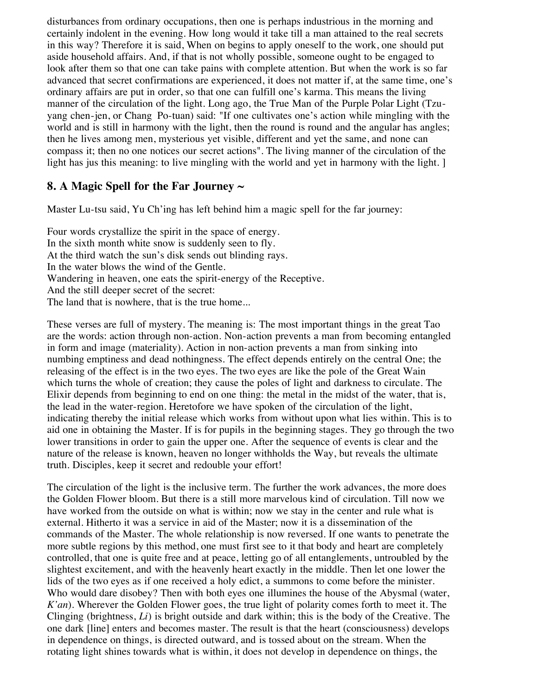disturbances from ordinary occupations, then one is perhaps industrious in the morning and certainly indolent in the evening. How long would it take till a man attained to the real secrets in this way? Therefore it is said, When on begins to apply oneself to the work, one should put aside household affairs. And, if that is not wholly possible, someone ought to be engaged to look after them so that one can take pains with complete attention. But when the work is so far advanced that secret confirmations are experienced, it does not matter if, at the same time, one's ordinary affairs are put in order, so that one can fulfill one's karma. This means the living manner of the circulation of the light. Long ago, the True Man of the Purple Polar Light (Tzuyang chen-jen, or Chang Po-tuan) said: "If one cultivates one's action while mingling with the world and is still in harmony with the light, then the round is round and the angular has angles; then he lives among men, mysterious yet visible, different and yet the same, and none can compass it; then no one notices our secret actions". The living manner of the circulation of the light has jus this meaning: to live mingling with the world and yet in harmony with the light. ]

#### **8. A Magic Spell for the Far Journey ~**

Master Lu-tsu said, Yu Ch'ing has left behind him a magic spell for the far journey:

Four words crystallize the spirit in the space of energy. In the sixth month white snow is suddenly seen to fly. At the third watch the sun's disk sends out blinding rays. In the water blows the wind of the Gentle. Wandering in heaven, one eats the spirit-energy of the Receptive. And the still deeper secret of the secret: The land that is nowhere, that is the true home...

These verses are full of mystery. The meaning is: The most important things in the great Tao are the words: action through non-action. Non-action prevents a man from becoming entangled in form and image (materiality). Action in non-action prevents a man from sinking into numbing emptiness and dead nothingness. The effect depends entirely on the central One; the releasing of the effect is in the two eyes. The two eyes are like the pole of the Great Wain which turns the whole of creation; they cause the poles of light and darkness to circulate. The Elixir depends from beginning to end on one thing: the metal in the midst of the water, that is, the lead in the water-region. Heretofore we have spoken of the circulation of the light, indicating thereby the initial release which works from without upon what lies within. This is to aid one in obtaining the Master. If is for pupils in the beginning stages. They go through the two lower transitions in order to gain the upper one. After the sequence of events is clear and the nature of the release is known, heaven no longer withholds the Way, but reveals the ultimate truth. Disciples, keep it secret and redouble your effort!

The circulation of the light is the inclusive term. The further the work advances, the more does the Golden Flower bloom. But there is a still more marvelous kind of circulation. Till now we have worked from the outside on what is within; now we stay in the center and rule what is external. Hitherto it was a service in aid of the Master; now it is a dissemination of the commands of the Master. The whole relationship is now reversed. If one wants to penetrate the more subtle regions by this method, one must first see to it that body and heart are completely controlled, that one is quite free and at peace, letting go of all entanglements, untroubled by the slightest excitement, and with the heavenly heart exactly in the middle. Then let one lower the lids of the two eyes as if one received a holy edict, a summons to come before the minister. Who would dare disobey? Then with both eyes one illumines the house of the Abysmal (water, *K'an*). Wherever the Golden Flower goes, the true light of polarity comes forth to meet it. The Clinging (brightness, *Li*) is bright outside and dark within; this is the body of the Creative. The one dark [line] enters and becomes master. The result is that the heart (consciousness) develops in dependence on things, is directed outward, and is tossed about on the stream. When the rotating light shines towards what is within, it does not develop in dependence on things, the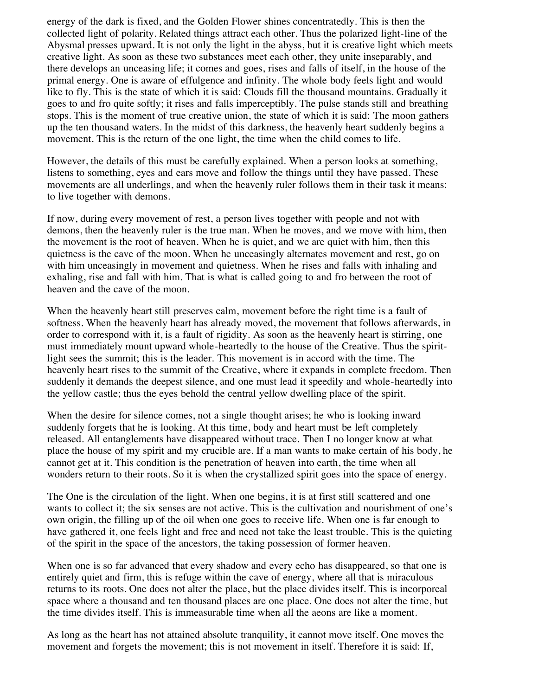energy of the dark is fixed, and the Golden Flower shines concentratedly. This is then the collected light of polarity. Related things attract each other. Thus the polarized light-line of the Abysmal presses upward. It is not only the light in the abyss, but it is creative light which meets creative light. As soon as these two substances meet each other, they unite inseparably, and there develops an unceasing life; it comes and goes, rises and falls of itself, in the house of the primal energy. One is aware of effulgence and infinity. The whole body feels light and would like to fly. This is the state of which it is said: Clouds fill the thousand mountains. Gradually it goes to and fro quite softly; it rises and falls imperceptibly. The pulse stands still and breathing stops. This is the moment of true creative union, the state of which it is said: The moon gathers up the ten thousand waters. In the midst of this darkness, the heavenly heart suddenly begins a movement. This is the return of the one light, the time when the child comes to life.

However, the details of this must be carefully explained. When a person looks at something, listens to something, eyes and ears move and follow the things until they have passed. These movements are all underlings, and when the heavenly ruler follows them in their task it means: to live together with demons.

If now, during every movement of rest, a person lives together with people and not with demons, then the heavenly ruler is the true man. When he moves, and we move with him, then the movement is the root of heaven. When he is quiet, and we are quiet with him, then this quietness is the cave of the moon. When he unceasingly alternates movement and rest, go on with him unceasingly in movement and quietness. When he rises and falls with inhaling and exhaling, rise and fall with him. That is what is called going to and fro between the root of heaven and the cave of the moon.

When the heavenly heart still preserves calm, movement before the right time is a fault of softness. When the heavenly heart has already moved, the movement that follows afterwards, in order to correspond with it, is a fault of rigidity. As soon as the heavenly heart is stirring, one must immediately mount upward whole-heartedly to the house of the Creative. Thus the spiritlight sees the summit; this is the leader. This movement is in accord with the time. The heavenly heart rises to the summit of the Creative, where it expands in complete freedom. Then suddenly it demands the deepest silence, and one must lead it speedily and whole-heartedly into the yellow castle; thus the eyes behold the central yellow dwelling place of the spirit.

When the desire for silence comes, not a single thought arises; he who is looking inward suddenly forgets that he is looking. At this time, body and heart must be left completely released. All entanglements have disappeared without trace. Then I no longer know at what place the house of my spirit and my crucible are. If a man wants to make certain of his body, he cannot get at it. This condition is the penetration of heaven into earth, the time when all wonders return to their roots. So it is when the crystallized spirit goes into the space of energy.

The One is the circulation of the light. When one begins, it is at first still scattered and one wants to collect it; the six senses are not active. This is the cultivation and nourishment of one's own origin, the filling up of the oil when one goes to receive life. When one is far enough to have gathered it, one feels light and free and need not take the least trouble. This is the quieting of the spirit in the space of the ancestors, the taking possession of former heaven.

When one is so far advanced that every shadow and every echo has disappeared, so that one is entirely quiet and firm, this is refuge within the cave of energy, where all that is miraculous returns to its roots. One does not alter the place, but the place divides itself. This is incorporeal space where a thousand and ten thousand places are one place. One does not alter the time, but the time divides itself. This is immeasurable time when all the aeons are like a moment.

As long as the heart has not attained absolute tranquility, it cannot move itself. One moves the movement and forgets the movement; this is not movement in itself. Therefore it is said: If,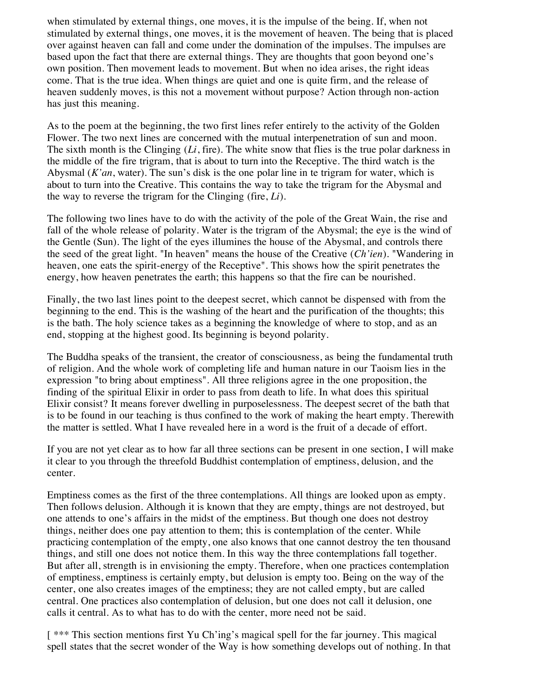when stimulated by external things, one moves, it is the impulse of the being. If, when not stimulated by external things, one moves, it is the movement of heaven. The being that is placed over against heaven can fall and come under the domination of the impulses. The impulses are based upon the fact that there are external things. They are thoughts that goon beyond one's own position. Then movement leads to movement. But when no idea arises, the right ideas come. That is the true idea. When things are quiet and one is quite firm, and the release of heaven suddenly moves, is this not a movement without purpose? Action through non-action has just this meaning.

As to the poem at the beginning, the two first lines refer entirely to the activity of the Golden Flower. The two next lines are concerned with the mutual interpenetration of sun and moon. The sixth month is the Clinging (*Li*, fire). The white snow that flies is the true polar darkness in the middle of the fire trigram, that is about to turn into the Receptive. The third watch is the Abysmal (*K'an*, water). The sun's disk is the one polar line in te trigram for water, which is about to turn into the Creative. This contains the way to take the trigram for the Abysmal and the way to reverse the trigram for the Clinging (fire, *Li*).

The following two lines have to do with the activity of the pole of the Great Wain, the rise and fall of the whole release of polarity. Water is the trigram of the Abysmal; the eye is the wind of the Gentle (Sun). The light of the eyes illumines the house of the Abysmal, and controls there the seed of the great light. "In heaven" means the house of the Creative (*Ch'ien*). "Wandering in heaven, one eats the spirit-energy of the Receptive". This shows how the spirit penetrates the energy, how heaven penetrates the earth; this happens so that the fire can be nourished.

Finally, the two last lines point to the deepest secret, which cannot be dispensed with from the beginning to the end. This is the washing of the heart and the purification of the thoughts; this is the bath. The holy science takes as a beginning the knowledge of where to stop, and as an end, stopping at the highest good. Its beginning is beyond polarity.

The Buddha speaks of the transient, the creator of consciousness, as being the fundamental truth of religion. And the whole work of completing life and human nature in our Taoism lies in the expression "to bring about emptiness". All three religions agree in the one proposition, the finding of the spiritual Elixir in order to pass from death to life. In what does this spiritual Elixir consist? It means forever dwelling in purposelessness. The deepest secret of the bath that is to be found in our teaching is thus confined to the work of making the heart empty. Therewith the matter is settled. What I have revealed here in a word is the fruit of a decade of effort.

If you are not yet clear as to how far all three sections can be present in one section, I will make it clear to you through the threefold Buddhist contemplation of emptiness, delusion, and the center.

Emptiness comes as the first of the three contemplations. All things are looked upon as empty. Then follows delusion. Although it is known that they are empty, things are not destroyed, but one attends to one's affairs in the midst of the emptiness. But though one does not destroy things, neither does one pay attention to them; this is contemplation of the center. While practicing contemplation of the empty, one also knows that one cannot destroy the ten thousand things, and still one does not notice them. In this way the three contemplations fall together. But after all, strength is in envisioning the empty. Therefore, when one practices contemplation of emptiness, emptiness is certainly empty, but delusion is empty too. Being on the way of the center, one also creates images of the emptiness; they are not called empty, but are called central. One practices also contemplation of delusion, but one does not call it delusion, one calls it central. As to what has to do with the center, more need not be said.

[ \*\*\* This section mentions first Yu Ch'ing's magical spell for the far journey. This magical spell states that the secret wonder of the Way is how something develops out of nothing. In that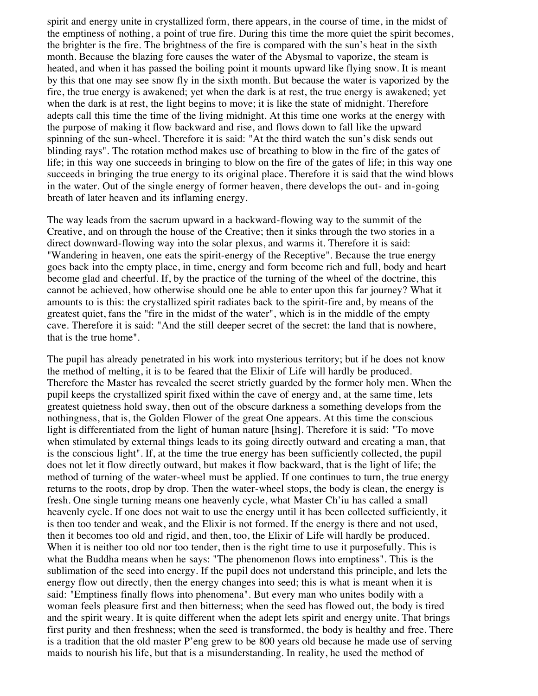spirit and energy unite in crystallized form, there appears, in the course of time, in the midst of the emptiness of nothing, a point of true fire. During this time the more quiet the spirit becomes, the brighter is the fire. The brightness of the fire is compared with the sun's heat in the sixth month. Because the blazing fore causes the water of the Abysmal to vaporize, the steam is heated, and when it has passed the boiling point it mounts upward like flying snow. It is meant by this that one may see snow fly in the sixth month. But because the water is vaporized by the fire, the true energy is awakened; yet when the dark is at rest, the true energy is awakened; yet when the dark is at rest, the light begins to move; it is like the state of midnight. Therefore adepts call this time the time of the living midnight. At this time one works at the energy with the purpose of making it flow backward and rise, and flows down to fall like the upward spinning of the sun-wheel. Therefore it is said: "At the third watch the sun's disk sends out blinding rays". The rotation method makes use of breathing to blow in the fire of the gates of life; in this way one succeeds in bringing to blow on the fire of the gates of life; in this way one succeeds in bringing the true energy to its original place. Therefore it is said that the wind blows in the water. Out of the single energy of former heaven, there develops the out- and in-going breath of later heaven and its inflaming energy.

The way leads from the sacrum upward in a backward-flowing way to the summit of the Creative, and on through the house of the Creative; then it sinks through the two stories in a direct downward-flowing way into the solar plexus, and warms it. Therefore it is said: "Wandering in heaven, one eats the spirit-energy of the Receptive". Because the true energy goes back into the empty place, in time, energy and form become rich and full, body and heart become glad and cheerful. If, by the practice of the turning of the wheel of the doctrine, this cannot be achieved, how otherwise should one be able to enter upon this far journey? What it amounts to is this: the crystallized spirit radiates back to the spirit-fire and, by means of the greatest quiet, fans the "fire in the midst of the water", which is in the middle of the empty cave. Therefore it is said: "And the still deeper secret of the secret: the land that is nowhere, that is the true home".

The pupil has already penetrated in his work into mysterious territory; but if he does not know the method of melting, it is to be feared that the Elixir of Life will hardly be produced. Therefore the Master has revealed the secret strictly guarded by the former holy men. When the pupil keeps the crystallized spirit fixed within the cave of energy and, at the same time, lets greatest quietness hold sway, then out of the obscure darkness a something develops from the nothingness, that is, the Golden Flower of the great One appears. At this time the conscious light is differentiated from the light of human nature [hsing]. Therefore it is said: "To move when stimulated by external things leads to its going directly outward and creating a man, that is the conscious light". If, at the time the true energy has been sufficiently collected, the pupil does not let it flow directly outward, but makes it flow backward, that is the light of life; the method of turning of the water-wheel must be applied. If one continues to turn, the true energy returns to the roots, drop by drop. Then the water-wheel stops, the body is clean, the energy is fresh. One single turning means one heavenly cycle, what Master Ch'iu has called a small heavenly cycle. If one does not wait to use the energy until it has been collected sufficiently, it is then too tender and weak, and the Elixir is not formed. If the energy is there and not used, then it becomes too old and rigid, and then, too, the Elixir of Life will hardly be produced. When it is neither too old nor too tender, then is the right time to use it purposefully. This is what the Buddha means when he says: "The phenomenon flows into emptiness". This is the sublimation of the seed into energy. If the pupil does not understand this principle, and lets the energy flow out directly, then the energy changes into seed; this is what is meant when it is said: "Emptiness finally flows into phenomena". But every man who unites bodily with a woman feels pleasure first and then bitterness; when the seed has flowed out, the body is tired and the spirit weary. It is quite different when the adept lets spirit and energy unite. That brings first purity and then freshness; when the seed is transformed, the body is healthy and free. There is a tradition that the old master P'eng grew to be 800 years old because he made use of serving maids to nourish his life, but that is a misunderstanding. In reality, he used the method of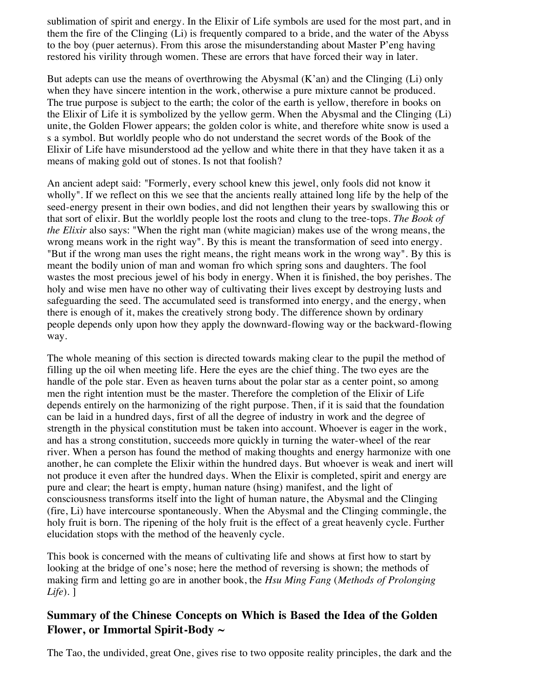sublimation of spirit and energy. In the Elixir of Life symbols are used for the most part, and in them the fire of the Clinging (Li) is frequently compared to a bride, and the water of the Abyss to the boy (puer aeternus). From this arose the misunderstanding about Master P'eng having restored his virility through women. These are errors that have forced their way in later.

But adepts can use the means of overthrowing the Abysmal (K'an) and the Clinging (Li) only when they have sincere intention in the work, otherwise a pure mixture cannot be produced. The true purpose is subject to the earth; the color of the earth is yellow, therefore in books on the Elixir of Life it is symbolized by the yellow germ. When the Abysmal and the Clinging (Li) unite, the Golden Flower appears; the golden color is white, and therefore white snow is used a s a symbol. But worldly people who do not understand the secret words of the Book of the Elixir of Life have misunderstood ad the yellow and white there in that they have taken it as a means of making gold out of stones. Is not that foolish?

An ancient adept said: "Formerly, every school knew this jewel, only fools did not know it wholly". If we reflect on this we see that the ancients really attained long life by the help of the seed-energy present in their own bodies, and did not lengthen their years by swallowing this or that sort of elixir. But the worldly people lost the roots and clung to the tree-tops. *The Book of the Elixir* also says: "When the right man (white magician) makes use of the wrong means, the wrong means work in the right way". By this is meant the transformation of seed into energy. "But if the wrong man uses the right means, the right means work in the wrong way". By this is meant the bodily union of man and woman fro which spring sons and daughters. The fool wastes the most precious jewel of his body in energy. When it is finished, the boy perishes. The holy and wise men have no other way of cultivating their lives except by destroying lusts and safeguarding the seed. The accumulated seed is transformed into energy, and the energy, when there is enough of it, makes the creatively strong body. The difference shown by ordinary people depends only upon how they apply the downward-flowing way or the backward-flowing way.

The whole meaning of this section is directed towards making clear to the pupil the method of filling up the oil when meeting life. Here the eyes are the chief thing. The two eyes are the handle of the pole star. Even as heaven turns about the polar star as a center point, so among men the right intention must be the master. Therefore the completion of the Elixir of Life depends entirely on the harmonizing of the right purpose. Then, if it is said that the foundation can be laid in a hundred days, first of all the degree of industry in work and the degree of strength in the physical constitution must be taken into account. Whoever is eager in the work, and has a strong constitution, succeeds more quickly in turning the water-wheel of the rear river. When a person has found the method of making thoughts and energy harmonize with one another, he can complete the Elixir within the hundred days. But whoever is weak and inert will not produce it even after the hundred days. When the Elixir is completed, spirit and energy are pure and clear; the heart is empty, human nature (hsing) manifest, and the light of consciousness transforms itself into the light of human nature, the Abysmal and the Clinging (fire, Li) have intercourse spontaneously. When the Abysmal and the Clinging commingle, the holy fruit is born. The ripening of the holy fruit is the effect of a great heavenly cycle. Further elucidation stops with the method of the heavenly cycle.

This book is concerned with the means of cultivating life and shows at first how to start by looking at the bridge of one's nose; here the method of reversing is shown; the methods of making firm and letting go are in another book, the *Hsu Ming Fang* (*Methods of Prolonging Life*). ]

# **Summary of the Chinese Concepts on Which is Based the Idea of the Golden Flower, or Immortal Spirit-Body ~**

The Tao, the undivided, great One, gives rise to two opposite reality principles, the dark and the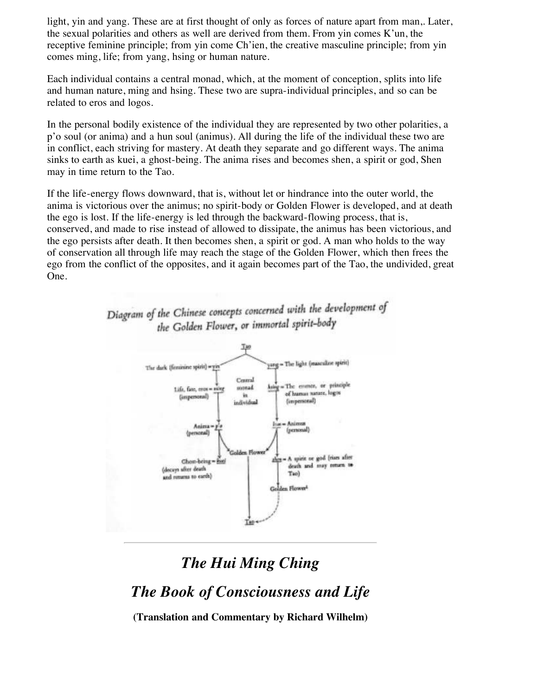light, yin and yang. These are at first thought of only as forces of nature apart from man,. Later, the sexual polarities and others as well are derived from them. From yin comes K'un, the receptive feminine principle; from yin come Ch'ien, the creative masculine principle; from yin comes ming, life; from yang, hsing or human nature.

Each individual contains a central monad, which, at the moment of conception, splits into life and human nature, ming and hsing. These two are supra-individual principles, and so can be related to eros and logos.

In the personal bodily existence of the individual they are represented by two other polarities, a p'o soul (or anima) and a hun soul (animus). All during the life of the individual these two are in conflict, each striving for mastery. At death they separate and go different ways. The anima sinks to earth as kuei, a ghost-being. The anima rises and becomes shen, a spirit or god, Shen may in time return to the Tao.

If the life-energy flows downward, that is, without let or hindrance into the outer world, the anima is victorious over the animus; no spirit-body or Golden Flower is developed, and at death the ego is lost. If the life-energy is led through the backward-flowing process, that is, conserved, and made to rise instead of allowed to dissipate, the animus has been victorious, and the ego persists after death. It then becomes shen, a spirit or god. A man who holds to the way of conservation all through life may reach the stage of the Golden Flower, which then frees the ego from the conflict of the opposites, and it again becomes part of the Tao, the undivided, great One.



Diagram of the Chinese concepts concerned with the development of the Golden Flower, or immortal spirit-body

# *The Hui Ming Ching*

# *The Book of Consciousness and Life*

**(Translation and Commentary by Richard Wilhelm)**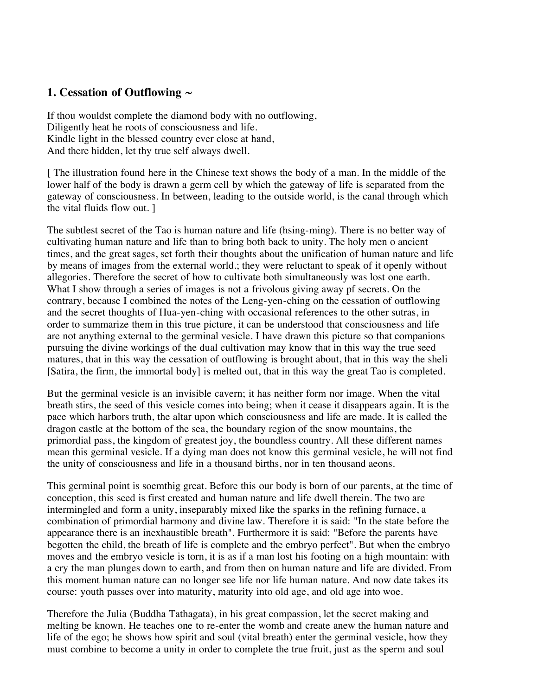#### **1. Cessation of Outflowing ~**

If thou wouldst complete the diamond body with no outflowing, Diligently heat he roots of consciousness and life. Kindle light in the blessed country ever close at hand, And there hidden, let thy true self always dwell.

[ The illustration found here in the Chinese text shows the body of a man. In the middle of the lower half of the body is drawn a germ cell by which the gateway of life is separated from the gateway of consciousness. In between, leading to the outside world, is the canal through which the vital fluids flow out. ]

The subtlest secret of the Tao is human nature and life (hsing-ming). There is no better way of cultivating human nature and life than to bring both back to unity. The holy men o ancient times, and the great sages, set forth their thoughts about the unification of human nature and life by means of images from the external world.; they were reluctant to speak of it openly without allegories. Therefore the secret of how to cultivate both simultaneously was lost one earth. What I show through a series of images is not a frivolous giving away pf secrets. On the contrary, because I combined the notes of the Leng-yen-ching on the cessation of outflowing and the secret thoughts of Hua-yen-ching with occasional references to the other sutras, in order to summarize them in this true picture, it can be understood that consciousness and life are not anything external to the germinal vesicle. I have drawn this picture so that companions pursuing the divine workings of the dual cultivation may know that in this way the true seed matures, that in this way the cessation of outflowing is brought about, that in this way the sheli [Satira, the firm, the immortal body] is melted out, that in this way the great Tao is completed.

But the germinal vesicle is an invisible cavern; it has neither form nor image. When the vital breath stirs, the seed of this vesicle comes into being; when it cease it disappears again. It is the pace which harbors truth, the altar upon which consciousness and life are made. It is called the dragon castle at the bottom of the sea, the boundary region of the snow mountains, the primordial pass, the kingdom of greatest joy, the boundless country. All these different names mean this germinal vesicle. If a dying man does not know this germinal vesicle, he will not find the unity of consciousness and life in a thousand births, nor in ten thousand aeons.

This germinal point is soemthig great. Before this our body is born of our parents, at the time of conception, this seed is first created and human nature and life dwell therein. The two are intermingled and form a unity, inseparably mixed like the sparks in the refining furnace, a combination of primordial harmony and divine law. Therefore it is said: "In the state before the appearance there is an inexhaustible breath". Furthermore it is said: "Before the parents have begotten the child, the breath of life is complete and the embryo perfect". But when the embryo moves and the embryo vesicle is torn, it is as if a man lost his footing on a high mountain: with a cry the man plunges down to earth, and from then on human nature and life are divided. From this moment human nature can no longer see life nor life human nature. And now date takes its course: youth passes over into maturity, maturity into old age, and old age into woe.

Therefore the Julia (Buddha Tathagata), in his great compassion, let the secret making and melting be known. He teaches one to re-enter the womb and create anew the human nature and life of the ego; he shows how spirit and soul (vital breath) enter the germinal vesicle, how they must combine to become a unity in order to complete the true fruit, just as the sperm and soul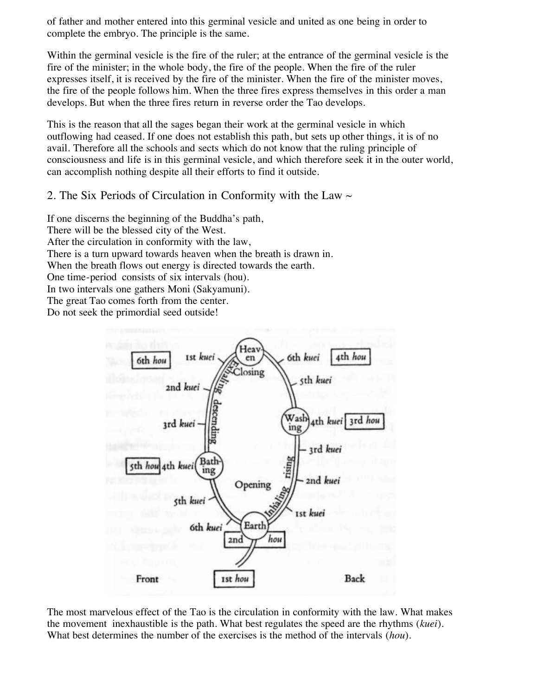of father and mother entered into this germinal vesicle and united as one being in order to complete the embryo. The principle is the same.

Within the germinal vesicle is the fire of the ruler; at the entrance of the germinal vesicle is the fire of the minister; in the whole body, the fire of the people. When the fire of the ruler expresses itself, it is received by the fire of the minister. When the fire of the minister moves, the fire of the people follows him. When the three fires express themselves in this order a man develops. But when the three fires return in reverse order the Tao develops.

This is the reason that all the sages began their work at the germinal vesicle in which outflowing had ceased. If one does not establish this path, but sets up other things, it is of no avail. Therefore all the schools and sects which do not know that the ruling principle of consciousness and life is in this germinal vesicle, and which therefore seek it in the outer world, can accomplish nothing despite all their efforts to find it outside.

2. The Six Periods of Circulation in Conformity with the Law  $\sim$ 

If one discerns the beginning of the Buddha's path, There will be the blessed city of the West. After the circulation in conformity with the law, There is a turn upward towards heaven when the breath is drawn in. When the breath flows out energy is directed towards the earth. One time-period consists of six intervals (hou). In two intervals one gathers Moni (Sakyamuni). The great Tao comes forth from the center. Do not seek the primordial seed outside!



The most marvelous effect of the Tao is the circulation in conformity with the law. What makes the movement inexhaustible is the path. What best regulates the speed are the rhythms (*kuei*). What best determines the number of the exercises is the method of the intervals (*hou*).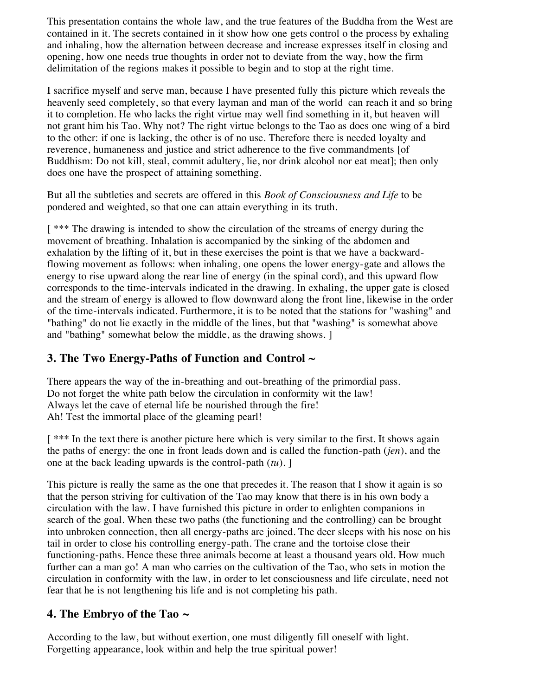This presentation contains the whole law, and the true features of the Buddha from the West are contained in it. The secrets contained in it show how one gets control o the process by exhaling and inhaling, how the alternation between decrease and increase expresses itself in closing and opening, how one needs true thoughts in order not to deviate from the way, how the firm delimitation of the regions makes it possible to begin and to stop at the right time.

I sacrifice myself and serve man, because I have presented fully this picture which reveals the heavenly seed completely, so that every layman and man of the world can reach it and so bring it to completion. He who lacks the right virtue may well find something in it, but heaven will not grant him his Tao. Why not? The right virtue belongs to the Tao as does one wing of a bird to the other: if one is lacking, the other is of no use. Therefore there is needed loyalty and reverence, humaneness and justice and strict adherence to the five commandments [of Buddhism: Do not kill, steal, commit adultery, lie, nor drink alcohol nor eat meat]; then only does one have the prospect of attaining something.

But all the subtleties and secrets are offered in this *Book of Consciousness and Life* to be pondered and weighted, so that one can attain everything in its truth.

[ \*\*\* The drawing is intended to show the circulation of the streams of energy during the movement of breathing. Inhalation is accompanied by the sinking of the abdomen and exhalation by the lifting of it, but in these exercises the point is that we have a backwardflowing movement as follows: when inhaling, one opens the lower energy-gate and allows the energy to rise upward along the rear line of energy (in the spinal cord), and this upward flow corresponds to the time-intervals indicated in the drawing. In exhaling, the upper gate is closed and the stream of energy is allowed to flow downward along the front line, likewise in the order of the time-intervals indicated. Furthermore, it is to be noted that the stations for "washing" and "bathing" do not lie exactly in the middle of the lines, but that "washing" is somewhat above and "bathing" somewhat below the middle, as the drawing shows. ]

## **3. The Two Energy-Paths of Function and Control ~**

There appears the way of the in-breathing and out-breathing of the primordial pass. Do not forget the white path below the circulation in conformity wit the law! Always let the cave of eternal life be nourished through the fire! Ah! Test the immortal place of the gleaming pearl!

[ \*\*\* In the text there is another picture here which is very similar to the first. It shows again the paths of energy: the one in front leads down and is called the function-path (*jen*), and the one at the back leading upwards is the control-path (*tu*). ]

This picture is really the same as the one that precedes it. The reason that I show it again is so that the person striving for cultivation of the Tao may know that there is in his own body a circulation with the law. I have furnished this picture in order to enlighten companions in search of the goal. When these two paths (the functioning and the controlling) can be brought into unbroken connection, then all energy-paths are joined. The deer sleeps with his nose on his tail in order to close his controlling energy-path. The crane and the tortoise close their functioning-paths. Hence these three animals become at least a thousand years old. How much further can a man go! A man who carries on the cultivation of the Tao, who sets in motion the circulation in conformity with the law, in order to let consciousness and life circulate, need not fear that he is not lengthening his life and is not completing his path.

## **4. The Embryo of the Tao ~**

According to the law, but without exertion, one must diligently fill oneself with light. Forgetting appearance, look within and help the true spiritual power!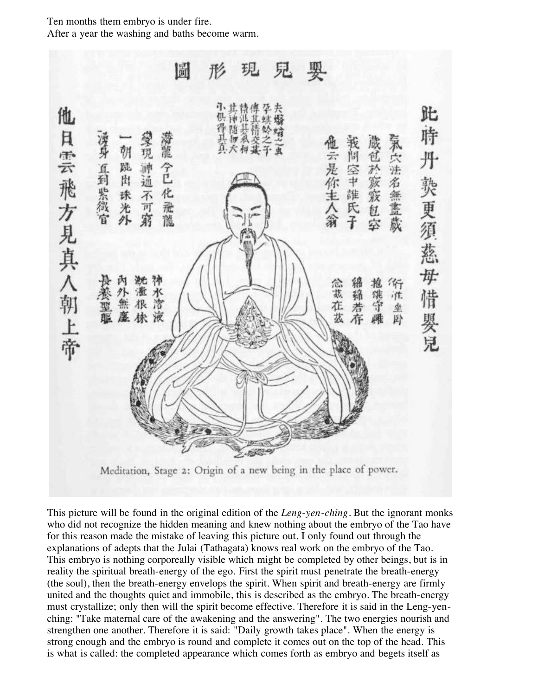Ten months them embryo is under fire. After a year the washing and baths become warm.



This picture will be found in the original edition of the *Leng-yen-ching*. But the ignorant monks who did not recognize the hidden meaning and knew nothing about the embryo of the Tao have for this reason made the mistake of leaving this picture out. I only found out through the explanations of adepts that the Julai (Tathagata) knows real work on the embryo of the Tao. This embryo is nothing corporeally visible which might be completed by other beings, but is in reality the spiritual breath-energy of the ego. First the spirit must penetrate the breath-energy (the soul), then the breath-energy envelops the spirit. When spirit and breath-energy are firmly united and the thoughts quiet and immobile, this is described as the embryo. The breath-energy must crystallize; only then will the spirit become effective. Therefore it is said in the Leng-yenching: "Take maternal care of the awakening and the answering". The two energies nourish and strengthen one another. Therefore it is said: "Daily growth takes place". When the energy is strong enough and the embryo is round and complete it comes out on the top of the head. This is what is called: the completed appearance which comes forth as embryo and begets itself as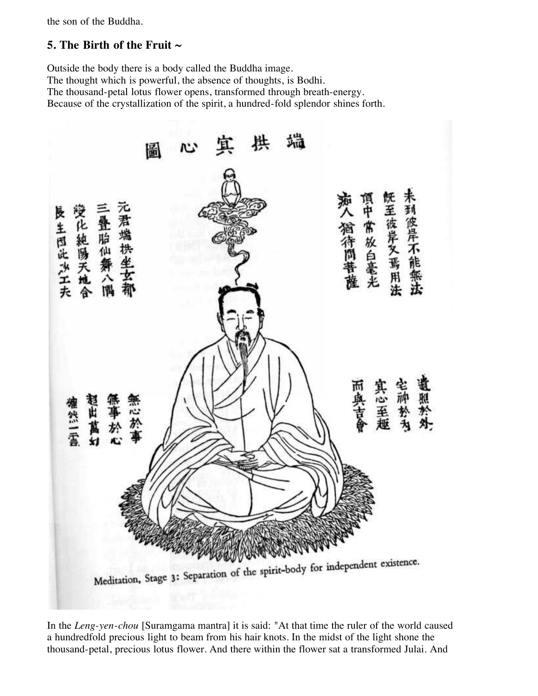the son of the Buddha.

#### **5. The Birth of the Fruit ~**

Outside the body there is a body called the Buddha image. The thought which is powerful, the absence of thoughts, is Bodhi. The thousand-petal lotus flower opens, transformed through breath-energy. Because of the crystallization of the spirit, a hundred-fold splendor shines forth.



In the *Leng-yen-chou* [Suramgama mantra] it is said: "At that time the ruler of the world caused a hundredfold precious light to beam from his hair knots. In the midst of the light shone the thousand-petal, precious lotus flower. And there within the flower sat a transformed Julai. And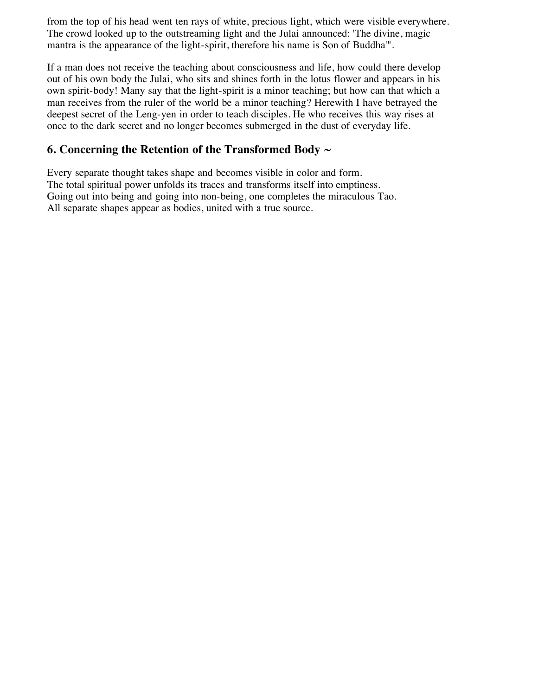from the top of his head went ten rays of white, precious light, which were visible everywhere. The crowd looked up to the outstreaming light and the Julai announced: 'The divine, magic mantra is the appearance of the light-spirit, therefore his name is Son of Buddha'".

If a man does not receive the teaching about consciousness and life, how could there develop out of his own body the Julai, who sits and shines forth in the lotus flower and appears in his own spirit-body! Many say that the light-spirit is a minor teaching; but how can that which a man receives from the ruler of the world be a minor teaching? Herewith I have betrayed the deepest secret of the Leng-yen in order to teach disciples. He who receives this way rises at once to the dark secret and no longer becomes submerged in the dust of everyday life.

## **6. Concerning the Retention of the Transformed Body ~**

Every separate thought takes shape and becomes visible in color and form. The total spiritual power unfolds its traces and transforms itself into emptiness. Going out into being and going into non-being, one completes the miraculous Tao. All separate shapes appear as bodies, united with a true source.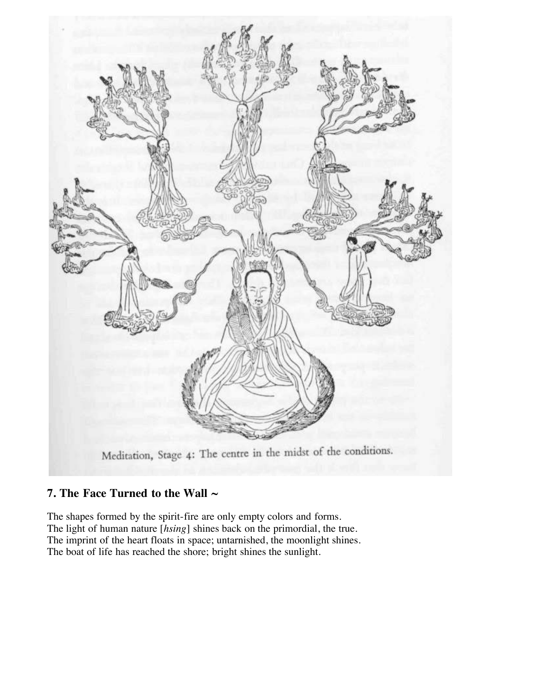

## **7. The Face Turned to the Wall ~**

The shapes formed by the spirit-fire are only empty colors and forms. The light of human nature [*hsing*] shines back on the primordial, the true. The imprint of the heart floats in space; untarnished, the moonlight shines. The boat of life has reached the shore; bright shines the sunlight.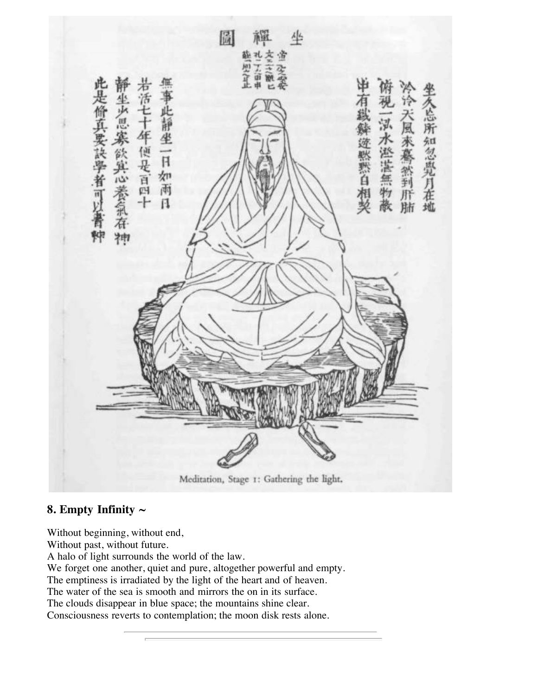

# **8. Empty Infinity ~**

Without beginning, without end, Without past, without future. A halo of light surrounds the world of the law. We forget one another, quiet and pure, altogether powerful and empty. The emptiness is irradiated by the light of the heart and of heaven. The water of the sea is smooth and mirrors the on in its surface. The clouds disappear in blue space; the mountains shine clear. Consciousness reverts to contemplation; the moon disk rests alone.